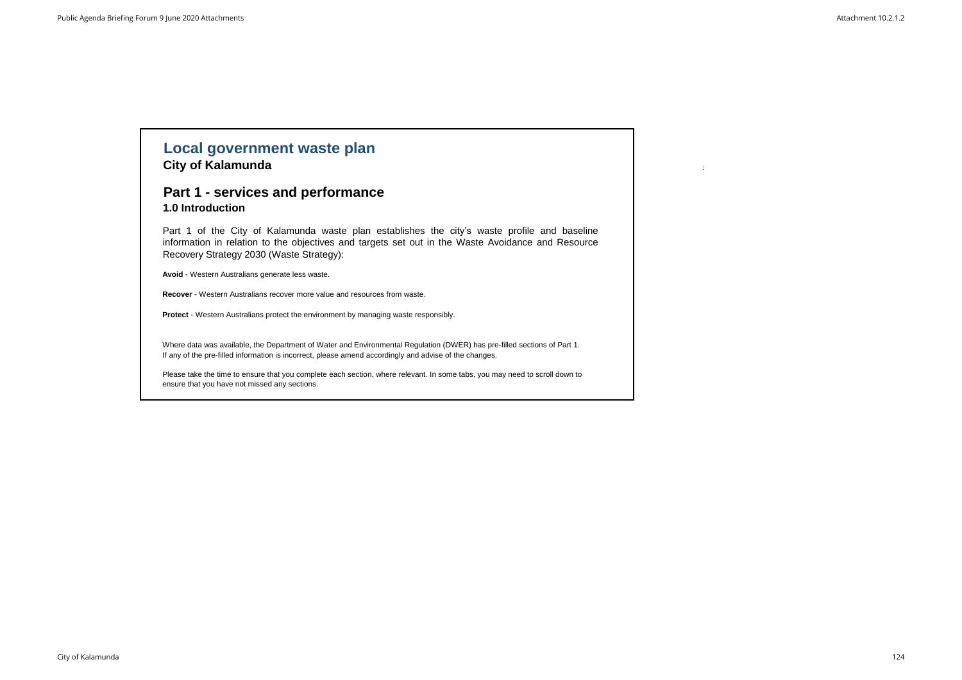# **Local government waste plan City of Kalamunda** :

## **Part 1 - services and performance 1.0 Introduction**

Part 1 of the City of Kalamunda waste plan establishes the city's waste profile and baseline information in relation to the objectives and targets set out in the Waste Avoidance and Resource Recovery Strategy 2030 (Waste Strategy):

**Avoid** - Western Australians generate less waste.

**Recover** - Western Australians recover more value and resources from waste.

**Protect** - Western Australians protect the environment by managing waste responsibly.

Where data was available, the Department of Water and Environmental Regulation (DWER) has pre-filled sections of Part 1. If any of the pre-filled information is incorrect, please amend accordingly and advise of the changes.

Please take the time to ensure that you complete each section, where relevant. In some tabs, you may need to scroll down to ensure that you have not missed any sections.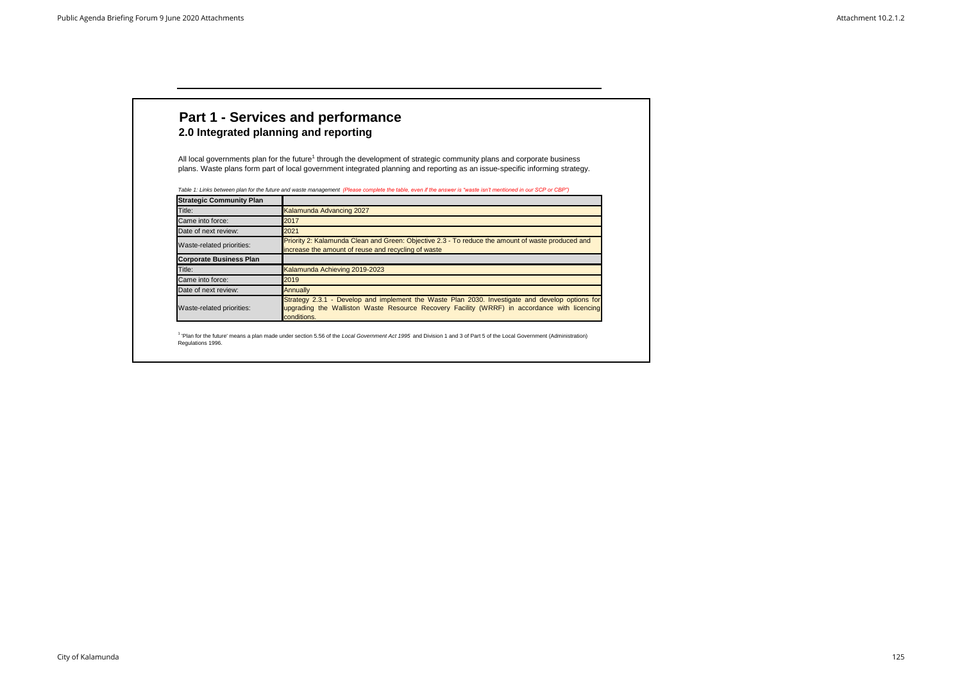| <b>Strategic Community Plan</b> |                                                                                                                                                                                                                |
|---------------------------------|----------------------------------------------------------------------------------------------------------------------------------------------------------------------------------------------------------------|
| Title:                          | Kalamunda Advancing 2027                                                                                                                                                                                       |
| Came into force:                | 2017                                                                                                                                                                                                           |
| Date of next review:            | 2021                                                                                                                                                                                                           |
| Waste-related priorities:       | Priority 2: Kalamunda Clean and Green: Objective 2.3 - To reduce the amount of waste produced and<br>increase the amount of reuse and recycling of waste                                                       |
| <b>Corporate Business Plan</b>  |                                                                                                                                                                                                                |
| Title:                          | Kalamunda Achieving 2019-2023                                                                                                                                                                                  |
| Came into force:                | 2019                                                                                                                                                                                                           |
| Date of next review:            | <b>Annually</b>                                                                                                                                                                                                |
| Waste-related priorities:       | Strategy 2.3.1 - Develop and implement the Waste Plan 2030. Investigate and develop options for<br>upgrading the Walliston Waste Resource Recovery Facility (WRRF) in accordance with licencing<br>conditions. |

<sup>1</sup> 'Plan for the future' means a plan made under section 5.56 of the *Local Government Act 1995* and Division 1 and 3 of Part 5 of the Local Government (Administration) Regulations 1996.

All local governments plan for the future<sup>1</sup> through the development of strategic community plans and corporate business plans. Waste plans form part of local government integrated planning and reporting as an issue-specific informing strategy.

*Table 1: Links between plan for the future and waste management (Please complete the table, even if the answer is "waste isn't mentioned in our SCP or CBP")*

# **Part 1 - Services and performance 2.0 Integrated planning and reporting**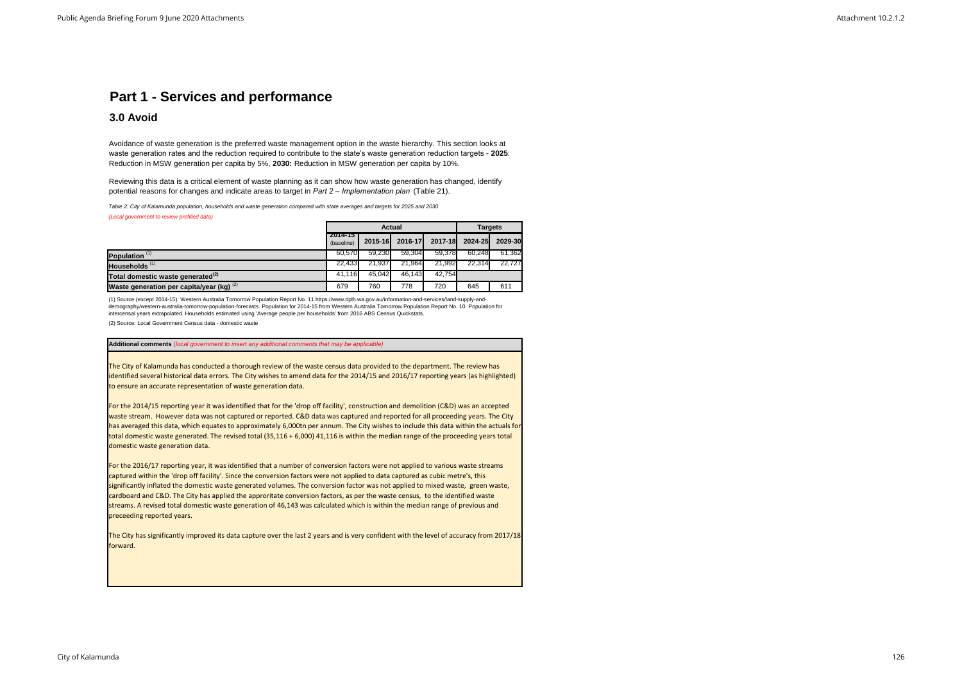## **3.0 Avoid**

*(Local government to review prefilled data)*

The City of Kalamunda has conducted a thorough review of the waste census data provided to the department. The review has identified several historical data errors. The City wishes to amend data for the 2014/15 and 2016/17 reporting years (as highlighted) to ensure an accurate representation of waste generation data.

(2) Source: Local Government Census data - domestic waste

For the 2014/15 reporting year it was identified that for the 'drop off facility', construction and demolition (C&D) was an accepted waste stream. However data was not captured or reported. C&D data was captured and reported for all proceeding years. The City has averaged this data, which equates to approximately 6,000tn per annum. The City wishes to include this data within the actuals for total domestic waste generated. The revised total (35,116 + 6,000) 41,116 is within the median range of the proceeding years total domestic waste generation data.

|                                               | <b>Actual</b>         |         |         |         | <b>Targets</b> |         |
|-----------------------------------------------|-----------------------|---------|---------|---------|----------------|---------|
|                                               | 2014-15<br>(baseline) | 2015-16 | 2016-17 | 2017-18 | 2024-25        | 2029-30 |
| Population <sup>(1)</sup>                     | 60.570                | 59.230  | 59.304  | 59.378  | 60.248         | 61.3621 |
| Households <sup>(1)</sup>                     | 22.433                | 21.937  | 21.964  | 21,992  | 22.314         | 22.727  |
| Total domestic waste generated <sup>(2)</sup> | 41.116                | 45.042  | 46.143  | 42.754  |                |         |
| Waste generation per capita/year (kg) $(2)$   | 679                   | 760     | 778     | 720     | 645            | 611     |

For the 2016/17 reporting year, it was identified that a number of conversion factors were not applied to various waste streams captured within the 'drop off facility'. Since the conversion factors were not applied to data captured as cubic metre's, this significantly inflated the domestic waste generated volumes. The conversion factor was not applied to mixed waste, green waste, cardboard and C&D. The City has applied the approritate conversion factors, as per the waste census, to the identified waste streams. A revised total domestic waste generation of 46,143 was calculated which is within the median range of previous and preceeding reported years.

The City has significantly improved its data capture over the last 2 years and is very confident with the level of accuracy from 2017/18 forward.

*Table 2: City of Kalamunda population, households and waste generation compared with state averages and targets for 2025 and 2030* 

## **Part 1 - Services and performance**

Avoidance of waste generation is the preferred waste management option in the waste hierarchy. This section looks at waste generation rates and the reduction required to contribute to the state's waste generation reduction targets - **2025**: Reduction in MSW generation per capita by 5%, **2030:** Reduction in MSW generation per capita by 10%.

Reviewing this data is a critical element of waste planning as it can show how waste generation has changed, identify potential reasons for changes and indicate areas to target in *Part 2 – Implementation plan* (Table 21).

(1) Source (except 2014-15): Western Australia Tomorrow Population Report No. 11 https://www.dplh.wa.gov.au/information-and-services/land-supply-anddemography/western-australia-tomorrow-population-forecasts. Population for 2014-15 from Western Australia Tomorrow Population Report No. 10. Population for intercensal years extrapolated. Households estimated using 'Average people per households' from 2016 ABS Census Quickstats.

**Additional comments** (*local government to insert any additional comments that may be applicable)*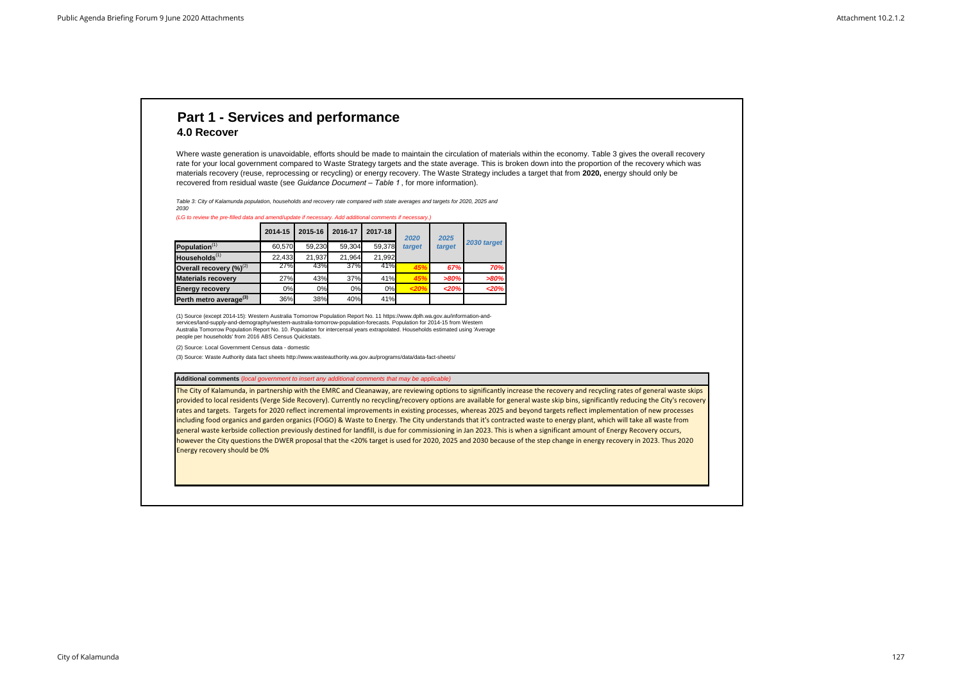## **4.0 Recover**

# **Part 1 - Services and performance**

Where waste generation is unavoidable, efforts should be made to maintain the circulation of materials within the economy. Table 3 gives the overall recovery rate for your local government compared to Waste Strategy targets and the state average. This is broken down into the proportion of the recovery which was materials recovery (reuse, reprocessing or recycling) or energy recovery. The Waste Strategy includes a target that from **2020,** energy should only be recovered from residual waste (see *Guidance Document – Table 1* , for more information).

The City of Kalamunda, in partnership with the EMRC and Cleanaway, are reviewing options to significantly increase the recovery and recycling rates of general waste skips provided to local residents (Verge Side Recovery). Currently no recycling/recovery options are available for general waste skip bins, significantly reducing the City's recovery rates and targets. Targets for 2020 reflect incremental improvements in existing processes, whereas 2025 and beyond targets reflect implementation of new processes including food organics and garden organics (FOGO) & Waste to Energy. The City understands that it's contracted waste to energy plant, which will take all waste from general waste kerbside collection previously destined for landfill, is due for commissioning in Jan 2023. This is when a significant amount of Energy Recovery occurs, however the City questions the DWER proposal that the <20% target is used for 2020, 2025 and 2030 because of the step change in energy recovery in 2023. Thus 2020 Energy recovery should be 0%

|                                    | 2014-15 | 2015-16 | 2016-17 | 2017-18 | 2020   | 2025   |             |
|------------------------------------|---------|---------|---------|---------|--------|--------|-------------|
| Population <sup>(1)</sup>          | 60.570  | 59.230  | 59,304  | 59.378  | target | target | 2030 target |
| Households <sup>(1)</sup>          | 22,433  | 21.937  | 21,964  | 21,992  |        |        |             |
| Overall recovery $(\%)^{(2)}$      | 27%     | 43%     | 37%     | 41%     | 45%    | 67%    | 70%         |
| <b>Materials recovery</b>          | 27%     | 43%     | 37%     | 41%     | 45%    | >80%   | >80%        |
| <b>Energy recovery</b>             | 0%      | 0%      | 0%      | 0%      | 20%    | 20%    | $20%$       |
| Perth metro average <sup>(3)</sup> | 36%     | 38%     | 40%     | 41%     |        |        |             |

#### **Additional comments** (*local government to insert any additional comments that may be applicable)*

(2) Source: Local Government Census data - domestic

(3) Source: Waste Authority data fact sheets http://www.wasteauthority.wa.gov.au/programs/data/data-fact-sheets/

*Table 3: City of Kalamunda population, households and recovery rate compared with state averages and targets for 2020, 2025 and 2030*

(1) Source (except 2014-15): Western Australia Tomorrow Population Report No. 11 https://www.dplh.wa.gov.au/information-andservices/land-supply-and-demography/western-australia-tomorrow-population-forecasts. Population for 2014-15 from Western Australia Tomorrow Population Report No. 10. Population for intercensal years extrapolated. Households estimated using 'Average people per households' from 2016 ABS Census Quickstats.

*(LG to review the pre-filled data and amend/update if necessary. Add additional comments if necessary.)*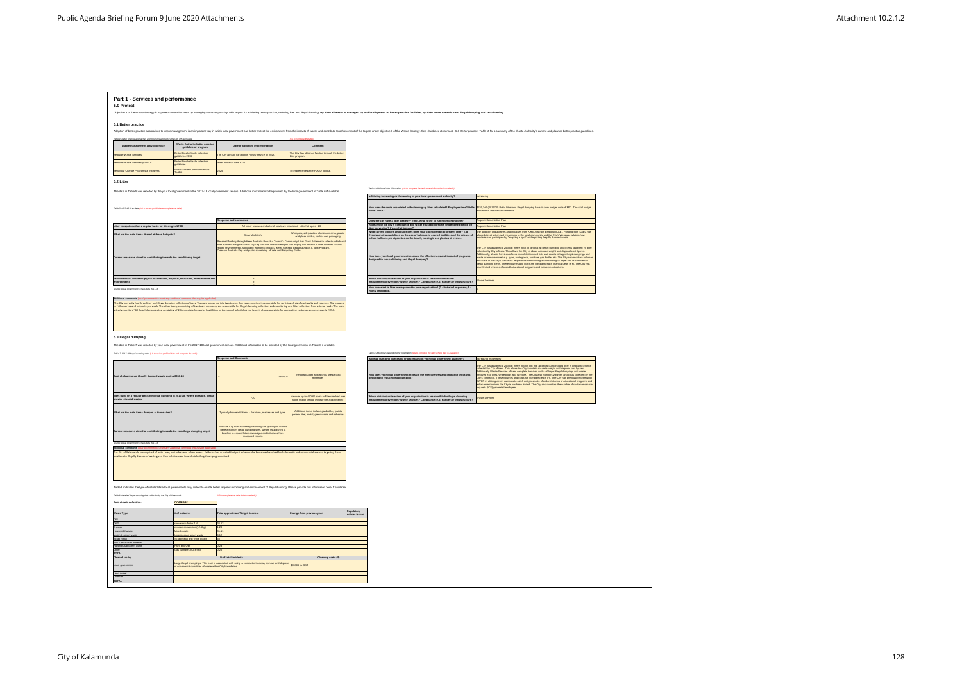| Part 1 - Services and performance                                                                                                                                                                                                                                                                                                                                                                                                                                                                                                                                                                                                            |                                                                |                                                                                                                                                                                                                                                                                                          |                                                                                              |                                                                                                                                                                                                                                |                                                                                                                                                                                                                                                                                                                                                                  |
|----------------------------------------------------------------------------------------------------------------------------------------------------------------------------------------------------------------------------------------------------------------------------------------------------------------------------------------------------------------------------------------------------------------------------------------------------------------------------------------------------------------------------------------------------------------------------------------------------------------------------------------------|----------------------------------------------------------------|----------------------------------------------------------------------------------------------------------------------------------------------------------------------------------------------------------------------------------------------------------------------------------------------------------|----------------------------------------------------------------------------------------------|--------------------------------------------------------------------------------------------------------------------------------------------------------------------------------------------------------------------------------|------------------------------------------------------------------------------------------------------------------------------------------------------------------------------------------------------------------------------------------------------------------------------------------------------------------------------------------------------------------|
| 5.0 Protect                                                                                                                                                                                                                                                                                                                                                                                                                                                                                                                                                                                                                                  |                                                                |                                                                                                                                                                                                                                                                                                          |                                                                                              |                                                                                                                                                                                                                                |                                                                                                                                                                                                                                                                                                                                                                  |
|                                                                                                                                                                                                                                                                                                                                                                                                                                                                                                                                                                                                                                              |                                                                |                                                                                                                                                                                                                                                                                                          |                                                                                              | Objective 3 of the Waste Strategy is to protect the environment by managing waste responsibly, with targets for achieving better practice, reducing litter and illegal dumping. By 2030 all waste is managed by and/or dispose |                                                                                                                                                                                                                                                                                                                                                                  |
|                                                                                                                                                                                                                                                                                                                                                                                                                                                                                                                                                                                                                                              |                                                                |                                                                                                                                                                                                                                                                                                          |                                                                                              |                                                                                                                                                                                                                                |                                                                                                                                                                                                                                                                                                                                                                  |
| 5.1 Better practice                                                                                                                                                                                                                                                                                                                                                                                                                                                                                                                                                                                                                          |                                                                |                                                                                                                                                                                                                                                                                                          |                                                                                              |                                                                                                                                                                                                                                |                                                                                                                                                                                                                                                                                                                                                                  |
|                                                                                                                                                                                                                                                                                                                                                                                                                                                                                                                                                                                                                                              |                                                                |                                                                                                                                                                                                                                                                                                          |                                                                                              | Adoption of better practice approaches to waste management is an important way in which local government can better protect the environment from the impacts of waste, and contribute to achievement of the targets under coje |                                                                                                                                                                                                                                                                                                                                                                  |
| Table 4: Better practice approaches and programs adopted by the City of Kalamunda                                                                                                                                                                                                                                                                                                                                                                                                                                                                                                                                                            |                                                                |                                                                                                                                                                                                                                                                                                          |                                                                                              |                                                                                                                                                                                                                                |                                                                                                                                                                                                                                                                                                                                                                  |
| Waste management activity/service                                                                                                                                                                                                                                                                                                                                                                                                                                                                                                                                                                                                            | <b>Waste Authority better practice</b><br>guideline or program | Date of adoption/ implementation                                                                                                                                                                                                                                                                         | Commen                                                                                       |                                                                                                                                                                                                                                |                                                                                                                                                                                                                                                                                                                                                                  |
| Cerbside Waste Services                                                                                                                                                                                                                                                                                                                                                                                                                                                                                                                                                                                                                      | setter Bins kerbside collection                                | The City aims to roll-out the FOGO service by 2025                                                                                                                                                                                                                                                       | The City has obtained funding through the bette                                              |                                                                                                                                                                                                                                |                                                                                                                                                                                                                                                                                                                                                                  |
|                                                                                                                                                                                                                                                                                                                                                                                                                                                                                                                                                                                                                                              | idelines 2016                                                  |                                                                                                                                                                                                                                                                                                          | ns program                                                                                   |                                                                                                                                                                                                                                |                                                                                                                                                                                                                                                                                                                                                                  |
| erbside Waste Services (FOGO)                                                                                                                                                                                                                                                                                                                                                                                                                                                                                                                                                                                                                | Better Bins kerbside collection<br><i>idelines</i>             | test adoption date 2025                                                                                                                                                                                                                                                                                  |                                                                                              |                                                                                                                                                                                                                                |                                                                                                                                                                                                                                                                                                                                                                  |
| ehaviour Change Programs & Initiatives                                                                                                                                                                                                                                                                                                                                                                                                                                                                                                                                                                                                       | Vaste Sorted Communications<br>oolkiit                         | 025                                                                                                                                                                                                                                                                                                      | o implemented after FOGO roll out.                                                           |                                                                                                                                                                                                                                |                                                                                                                                                                                                                                                                                                                                                                  |
|                                                                                                                                                                                                                                                                                                                                                                                                                                                                                                                                                                                                                                              |                                                                |                                                                                                                                                                                                                                                                                                          |                                                                                              |                                                                                                                                                                                                                                |                                                                                                                                                                                                                                                                                                                                                                  |
| 5.2 Litter                                                                                                                                                                                                                                                                                                                                                                                                                                                                                                                                                                                                                                   |                                                                |                                                                                                                                                                                                                                                                                                          |                                                                                              |                                                                                                                                                                                                                                |                                                                                                                                                                                                                                                                                                                                                                  |
|                                                                                                                                                                                                                                                                                                                                                                                                                                                                                                                                                                                                                                              |                                                                | The data in Table 5 was reported by the your local government in the 2017-18 local government census. Additional information to be provided by the local government in Table 6 if available.                                                                                                             |                                                                                              | Table 6: Additional litter information (LG to complete the table where information is available)                                                                                                                               |                                                                                                                                                                                                                                                                                                                                                                  |
|                                                                                                                                                                                                                                                                                                                                                                                                                                                                                                                                                                                                                                              |                                                                |                                                                                                                                                                                                                                                                                                          |                                                                                              | Is littering increasing or decreasing in your local government authority?                                                                                                                                                      | tcreasing                                                                                                                                                                                                                                                                                                                                                        |
|                                                                                                                                                                                                                                                                                                                                                                                                                                                                                                                                                                                                                                              |                                                                |                                                                                                                                                                                                                                                                                                          |                                                                                              |                                                                                                                                                                                                                                |                                                                                                                                                                                                                                                                                                                                                                  |
| Table 5: 2017-18 litt or data (LG to review prefilled and complete the table)                                                                                                                                                                                                                                                                                                                                                                                                                                                                                                                                                                |                                                                |                                                                                                                                                                                                                                                                                                          |                                                                                              | value? Both?                                                                                                                                                                                                                   | How were the costs associated with cleaning up litter calculated? Employee time? Dollar \$676,746 (2019/20) Both. Litter and Illegal dumping have its own budget code WM02. The total budget<br>allocation is used a cost reference.                                                                                                                             |
|                                                                                                                                                                                                                                                                                                                                                                                                                                                                                                                                                                                                                                              |                                                                |                                                                                                                                                                                                                                                                                                          |                                                                                              |                                                                                                                                                                                                                                |                                                                                                                                                                                                                                                                                                                                                                  |
| itter hotspot used on a regular basis for littering in 17-18                                                                                                                                                                                                                                                                                                                                                                                                                                                                                                                                                                                 |                                                                | <b>Response and comments</b><br>All major reserves and arterial roads are monitored. Litter hot spots ~20                                                                                                                                                                                                |                                                                                              | Does the city have a litter strategy? If not, what is the ETA for completing one?<br>Have any of the city's compliance and waste education officers undergone training on                                                      | As per imlementation Plan<br>As per imlementation Plan                                                                                                                                                                                                                                                                                                           |
|                                                                                                                                                                                                                                                                                                                                                                                                                                                                                                                                                                                                                                              |                                                                |                                                                                                                                                                                                                                                                                                          |                                                                                              | litter prevention? If so, what training?<br>What current policies and guidelines does your council enact to prevent litter? E.g.                                                                                               | he adoption of guidelines and initiatives from Keep Australia Beautiful (KAB). Funding from KABC has                                                                                                                                                                                                                                                             |
| That are the main items littered at these hotspots?                                                                                                                                                                                                                                                                                                                                                                                                                                                                                                                                                                                          |                                                                | General rubbish.                                                                                                                                                                                                                                                                                         | Wrappers, soft plastics, aluminium cans, plasti<br>and glass bottles, clothes and packaging  | Event planning guidelines on the use of balloons in council facilities and the release of<br>helium balloons; no cigarettes on the beach; no single use plastics at events.                                                    | allowed direct action and messaging to the local community and the City's Webpage advises how<br>residents can participate by "adopting a spot" and reporting illegally dumped waste.                                                                                                                                                                            |
|                                                                                                                                                                                                                                                                                                                                                                                                                                                                                                                                                                                                                                              |                                                                | eceived funding through Keep Australia Beautiful Council's Community Litter Grant Scheme to collect rubbish ar                                                                                                                                                                                           |                                                                                              |                                                                                                                                                                                                                                |                                                                                                                                                                                                                                                                                                                                                                  |
|                                                                                                                                                                                                                                                                                                                                                                                                                                                                                                                                                                                                                                              |                                                                | itter dumped along the iconic Zig Zag trail with interactive signs that display the amount of litter collected and its<br>elated environmental, social and economic impacts. Keep Australia Beautiful Adopt A Spot Program.<br>Clean up Australia Day and public advertising. Waste and Recycling Guide. |                                                                                              |                                                                                                                                                                                                                                | The City has assigned a 25cubic metre hook lift bin that all illegal dumping and litter is disposed in, after<br>collection by City officers. This allows the City to obtain accurate weight and disposal cost figures.                                                                                                                                          |
| Current measures aimed at contributing towards the zero littering target                                                                                                                                                                                                                                                                                                                                                                                                                                                                                                                                                                     |                                                                |                                                                                                                                                                                                                                                                                                          |                                                                                              | How does your local government measure the effectiveness and impact of programs                                                                                                                                                | Additionally, Waste Services officers complete itemised lists and counts of larger illegal dumpings and<br>waste streams removed e.g. tyres, whitegoods, furniture, gas bottles etc. The City also monitors volumes                                                                                                                                              |
|                                                                                                                                                                                                                                                                                                                                                                                                                                                                                                                                                                                                                                              |                                                                |                                                                                                                                                                                                                                                                                                          |                                                                                              | designed to reduce littering and illegal dumping?                                                                                                                                                                              | and costs of the City's contractor responsible for removing and disposing of larger and or commercial                                                                                                                                                                                                                                                            |
|                                                                                                                                                                                                                                                                                                                                                                                                                                                                                                                                                                                                                                              |                                                                |                                                                                                                                                                                                                                                                                                          |                                                                                              |                                                                                                                                                                                                                                | illegal dumping items. These volumes and costs are compared each financial uear (FY). The City has<br>been limited in terms of overall educational programs and enforcement options.                                                                                                                                                                             |
| Estimated cost of clean-up (due to collection, disposal, education, infrastructure and                                                                                                                                                                                                                                                                                                                                                                                                                                                                                                                                                       |                                                                |                                                                                                                                                                                                                                                                                                          |                                                                                              |                                                                                                                                                                                                                                |                                                                                                                                                                                                                                                                                                                                                                  |
| orcementi                                                                                                                                                                                                                                                                                                                                                                                                                                                                                                                                                                                                                                    |                                                                |                                                                                                                                                                                                                                                                                                          |                                                                                              | Which division/unit/section of your organisation is responsible for litter<br>management/prevention? Waste services? Compliance (e.g. Rangers)? Infrastructure?                                                                | Waste Services                                                                                                                                                                                                                                                                                                                                                   |
| Source: Local government Census data 2017-18                                                                                                                                                                                                                                                                                                                                                                                                                                                                                                                                                                                                 |                                                                |                                                                                                                                                                                                                                                                                                          |                                                                                              | How important is litter management to your organisation? (1 - Not at all important; 5 -<br>Highly important).                                                                                                                  |                                                                                                                                                                                                                                                                                                                                                                  |
| ditional comments (                                                                                                                                                                                                                                                                                                                                                                                                                                                                                                                                                                                                                          |                                                                |                                                                                                                                                                                                                                                                                                          |                                                                                              |                                                                                                                                                                                                                                |                                                                                                                                                                                                                                                                                                                                                                  |
|                                                                                                                                                                                                                                                                                                                                                                                                                                                                                                                                                                                                                                              |                                                                | The City currently has three litter and illegal dumping collection officers. They are broken up into two teams. One team member is responsible for servicing all significant parks and reserves. This equates                                                                                            |                                                                                              |                                                                                                                                                                                                                                |                                                                                                                                                                                                                                                                                                                                                                  |
|                                                                                                                                                                                                                                                                                                                                                                                                                                                                                                                                                                                                                                              |                                                                | o ~40 reserves and hotspots per week. The other team, comprising of two team members, are responsible for illegal dumping collection and monitoring and litter collection from arterial roads. The team                                                                                                  |                                                                                              |                                                                                                                                                                                                                                |                                                                                                                                                                                                                                                                                                                                                                  |
|                                                                                                                                                                                                                                                                                                                                                                                                                                                                                                                                                                                                                                              |                                                                | ctively monitors ~60 illegal dumping sites, consisting of 20 immediate hotspots. In addition to the normal scheduling the team is also responsible for completing customer service requests (ICSs).                                                                                                      |                                                                                              |                                                                                                                                                                                                                                |                                                                                                                                                                                                                                                                                                                                                                  |
|                                                                                                                                                                                                                                                                                                                                                                                                                                                                                                                                                                                                                                              |                                                                |                                                                                                                                                                                                                                                                                                          |                                                                                              |                                                                                                                                                                                                                                |                                                                                                                                                                                                                                                                                                                                                                  |
|                                                                                                                                                                                                                                                                                                                                                                                                                                                                                                                                                                                                                                              |                                                                |                                                                                                                                                                                                                                                                                                          |                                                                                              |                                                                                                                                                                                                                                |                                                                                                                                                                                                                                                                                                                                                                  |
|                                                                                                                                                                                                                                                                                                                                                                                                                                                                                                                                                                                                                                              |                                                                |                                                                                                                                                                                                                                                                                                          |                                                                                              |                                                                                                                                                                                                                                |                                                                                                                                                                                                                                                                                                                                                                  |
| 5.3 Illegal dumping                                                                                                                                                                                                                                                                                                                                                                                                                                                                                                                                                                                                                          |                                                                |                                                                                                                                                                                                                                                                                                          |                                                                                              |                                                                                                                                                                                                                                |                                                                                                                                                                                                                                                                                                                                                                  |
|                                                                                                                                                                                                                                                                                                                                                                                                                                                                                                                                                                                                                                              |                                                                |                                                                                                                                                                                                                                                                                                          |                                                                                              |                                                                                                                                                                                                                                |                                                                                                                                                                                                                                                                                                                                                                  |
|                                                                                                                                                                                                                                                                                                                                                                                                                                                                                                                                                                                                                                              |                                                                |                                                                                                                                                                                                                                                                                                          |                                                                                              |                                                                                                                                                                                                                                |                                                                                                                                                                                                                                                                                                                                                                  |
|                                                                                                                                                                                                                                                                                                                                                                                                                                                                                                                                                                                                                                              |                                                                | The data in Table 7 was reported by your local government in the 2017-18 local government census. Additional information to be provided by the local government in Table 8 if available.                                                                                                                 |                                                                                              |                                                                                                                                                                                                                                |                                                                                                                                                                                                                                                                                                                                                                  |
|                                                                                                                                                                                                                                                                                                                                                                                                                                                                                                                                                                                                                                              |                                                                |                                                                                                                                                                                                                                                                                                          |                                                                                              | Table 8: Additional illegal dumping information (LG to complete the table where data is available                                                                                                                              |                                                                                                                                                                                                                                                                                                                                                                  |
|                                                                                                                                                                                                                                                                                                                                                                                                                                                                                                                                                                                                                                              |                                                                | <b>Response and Comments</b>                                                                                                                                                                                                                                                                             |                                                                                              | Is illegal dumping increasing or decreasing in your local government authority?                                                                                                                                                | Increasing moderatley                                                                                                                                                                                                                                                                                                                                            |
|                                                                                                                                                                                                                                                                                                                                                                                                                                                                                                                                                                                                                                              |                                                                |                                                                                                                                                                                                                                                                                                          |                                                                                              |                                                                                                                                                                                                                                | The City has assigned a 25cubic metre hooklift bin that all illegal dumping and litter is disposed off once<br>collected by City officers. This allows the City to obtain accurate weight and disposal cost figures.                                                                                                                                             |
|                                                                                                                                                                                                                                                                                                                                                                                                                                                                                                                                                                                                                                              |                                                                |                                                                                                                                                                                                                                                                                                          | The total budget allocation is used a cost                                                   | How does your local government measure the effectiveness and impact of programs                                                                                                                                                | Additionally Waste Services officers complete itemised audits of larger illegal dumpings and waste<br>removed e.g. tyres, whitegoods and furniture. The City also monitors volumes and costs collected by the                                                                                                                                                    |
|                                                                                                                                                                                                                                                                                                                                                                                                                                                                                                                                                                                                                                              |                                                                | 450.90                                                                                                                                                                                                                                                                                                   | reference.                                                                                   | designed to reduce illegal dumping?                                                                                                                                                                                            |                                                                                                                                                                                                                                                                                                                                                                  |
|                                                                                                                                                                                                                                                                                                                                                                                                                                                                                                                                                                                                                                              |                                                                |                                                                                                                                                                                                                                                                                                          |                                                                                              |                                                                                                                                                                                                                                | City's contractor. These volumes and costs are compared each FY. The City has previously worked with<br>DWER in utilising covert cameras to catch and prosecute offenders in terms of educational programs and<br>enforcement options the City is has been limited. The City also monitors the number of customer service<br>requests (ICS) generated each year. |
|                                                                                                                                                                                                                                                                                                                                                                                                                                                                                                                                                                                                                                              |                                                                |                                                                                                                                                                                                                                                                                                          |                                                                                              |                                                                                                                                                                                                                                |                                                                                                                                                                                                                                                                                                                                                                  |
| Sites used on a regular basis for illegal dumping in 2017-18. Where possible, plea<br>rovide site address/es                                                                                                                                                                                                                                                                                                                                                                                                                                                                                                                                 |                                                                | ${\sim}20$                                                                                                                                                                                                                                                                                               | owever up to ~50-60 spots will be checked ov<br>a one month period. (Please see attachments) | Which division/unit/section of your organization is responsible for illegal dumping<br>nanagement/prevention? Waste services? Compliance (e.g. Rangers)? Infrastructure?                                                       | Vaste Services                                                                                                                                                                                                                                                                                                                                                   |
|                                                                                                                                                                                                                                                                                                                                                                                                                                                                                                                                                                                                                                              |                                                                |                                                                                                                                                                                                                                                                                                          |                                                                                              |                                                                                                                                                                                                                                |                                                                                                                                                                                                                                                                                                                                                                  |
|                                                                                                                                                                                                                                                                                                                                                                                                                                                                                                                                                                                                                                              |                                                                | Typically household items - Furniture, mattresses and tyres.                                                                                                                                                                                                                                             | Additional items include gas bottles, paints,                                                |                                                                                                                                                                                                                                |                                                                                                                                                                                                                                                                                                                                                                  |
|                                                                                                                                                                                                                                                                                                                                                                                                                                                                                                                                                                                                                                              |                                                                |                                                                                                                                                                                                                                                                                                          | general litter, metal, green waste and asbestos                                              |                                                                                                                                                                                                                                |                                                                                                                                                                                                                                                                                                                                                                  |
|                                                                                                                                                                                                                                                                                                                                                                                                                                                                                                                                                                                                                                              |                                                                |                                                                                                                                                                                                                                                                                                          |                                                                                              |                                                                                                                                                                                                                                |                                                                                                                                                                                                                                                                                                                                                                  |
|                                                                                                                                                                                                                                                                                                                                                                                                                                                                                                                                                                                                                                              |                                                                | With the City now accurately recording the quantity of waster<br>generated from illegal dumping sites, we are establishing a                                                                                                                                                                             |                                                                                              |                                                                                                                                                                                                                                |                                                                                                                                                                                                                                                                                                                                                                  |
|                                                                                                                                                                                                                                                                                                                                                                                                                                                                                                                                                                                                                                              |                                                                | baseline to ensure future campaigns and initiatives have<br>measured results.                                                                                                                                                                                                                            |                                                                                              |                                                                                                                                                                                                                                |                                                                                                                                                                                                                                                                                                                                                                  |
|                                                                                                                                                                                                                                                                                                                                                                                                                                                                                                                                                                                                                                              |                                                                |                                                                                                                                                                                                                                                                                                          |                                                                                              |                                                                                                                                                                                                                                |                                                                                                                                                                                                                                                                                                                                                                  |
| nal commer                                                                                                                                                                                                                                                                                                                                                                                                                                                                                                                                                                                                                                   |                                                                |                                                                                                                                                                                                                                                                                                          |                                                                                              |                                                                                                                                                                                                                                |                                                                                                                                                                                                                                                                                                                                                                  |
| cations to illegally dispose of waste given their relative ease to undertake illegal dumping unnoticed                                                                                                                                                                                                                                                                                                                                                                                                                                                                                                                                       |                                                                | he City of Kalamunda is comprised of both rural, peri-urban and urban areas. Evidence has revealed that peri-urban and urban areas have had both domestic and commercial sources targeting these                                                                                                         |                                                                                              |                                                                                                                                                                                                                                |                                                                                                                                                                                                                                                                                                                                                                  |
|                                                                                                                                                                                                                                                                                                                                                                                                                                                                                                                                                                                                                                              |                                                                |                                                                                                                                                                                                                                                                                                          |                                                                                              |                                                                                                                                                                                                                                |                                                                                                                                                                                                                                                                                                                                                                  |
|                                                                                                                                                                                                                                                                                                                                                                                                                                                                                                                                                                                                                                              |                                                                |                                                                                                                                                                                                                                                                                                          |                                                                                              |                                                                                                                                                                                                                                |                                                                                                                                                                                                                                                                                                                                                                  |
|                                                                                                                                                                                                                                                                                                                                                                                                                                                                                                                                                                                                                                              |                                                                |                                                                                                                                                                                                                                                                                                          |                                                                                              |                                                                                                                                                                                                                                |                                                                                                                                                                                                                                                                                                                                                                  |
|                                                                                                                                                                                                                                                                                                                                                                                                                                                                                                                                                                                                                                              |                                                                |                                                                                                                                                                                                                                                                                                          |                                                                                              |                                                                                                                                                                                                                                |                                                                                                                                                                                                                                                                                                                                                                  |
|                                                                                                                                                                                                                                                                                                                                                                                                                                                                                                                                                                                                                                              |                                                                | Table 9 indicates the type of detailed data local governments may collect to enable better targeted monitoring and enforcement of illegal dumping. Please provide this information here, if available.                                                                                                   |                                                                                              |                                                                                                                                                                                                                                |                                                                                                                                                                                                                                                                                                                                                                  |
|                                                                                                                                                                                                                                                                                                                                                                                                                                                                                                                                                                                                                                              |                                                                | (LG to complete the table if data available)                                                                                                                                                                                                                                                             |                                                                                              |                                                                                                                                                                                                                                |                                                                                                                                                                                                                                                                                                                                                                  |
|                                                                                                                                                                                                                                                                                                                                                                                                                                                                                                                                                                                                                                              |                                                                |                                                                                                                                                                                                                                                                                                          |                                                                                              |                                                                                                                                                                                                                                |                                                                                                                                                                                                                                                                                                                                                                  |
|                                                                                                                                                                                                                                                                                                                                                                                                                                                                                                                                                                                                                                              | FY 2018/19                                                     |                                                                                                                                                                                                                                                                                                          |                                                                                              |                                                                                                                                                                                                                                |                                                                                                                                                                                                                                                                                                                                                                  |
|                                                                                                                                                                                                                                                                                                                                                                                                                                                                                                                                                                                                                                              | of incidents                                                   | otal approximate Weight (tonnes)                                                                                                                                                                                                                                                                         | hange from previous year                                                                     | tegulatory<br>otices issued                                                                                                                                                                                                    |                                                                                                                                                                                                                                                                                                                                                                  |
| <b>Waste Type</b>                                                                                                                                                                                                                                                                                                                                                                                                                                                                                                                                                                                                                            |                                                                |                                                                                                                                                                                                                                                                                                          |                                                                                              |                                                                                                                                                                                                                                |                                                                                                                                                                                                                                                                                                                                                                  |
|                                                                                                                                                                                                                                                                                                                                                                                                                                                                                                                                                                                                                                              | priversion factor 1.4                                          | <b>86.62</b>                                                                                                                                                                                                                                                                                             |                                                                                              |                                                                                                                                                                                                                                |                                                                                                                                                                                                                                                                                                                                                                  |
|                                                                                                                                                                                                                                                                                                                                                                                                                                                                                                                                                                                                                                              | waste conversion (12.5kg<br><b>Aixed</b> waste                 | .23<br>1.11                                                                                                                                                                                                                                                                                              |                                                                                              |                                                                                                                                                                                                                                |                                                                                                                                                                                                                                                                                                                                                                  |
|                                                                                                                                                                                                                                                                                                                                                                                                                                                                                                                                                                                                                                              | <b>Jnprocessed green waste</b><br>crap metal and white good    | 12                                                                                                                                                                                                                                                                                                       |                                                                                              |                                                                                                                                                                                                                                |                                                                                                                                                                                                                                                                                                                                                                  |
|                                                                                                                                                                                                                                                                                                                                                                                                                                                                                                                                                                                                                                              |                                                                |                                                                                                                                                                                                                                                                                                          |                                                                                              |                                                                                                                                                                                                                                |                                                                                                                                                                                                                                                                                                                                                                  |
|                                                                                                                                                                                                                                                                                                                                                                                                                                                                                                                                                                                                                                              | Paint and Oils<br>Gas cylinders (52 x 5kg)                     | 26                                                                                                                                                                                                                                                                                                       |                                                                                              |                                                                                                                                                                                                                                |                                                                                                                                                                                                                                                                                                                                                                  |
|                                                                                                                                                                                                                                                                                                                                                                                                                                                                                                                                                                                                                                              |                                                                |                                                                                                                                                                                                                                                                                                          |                                                                                              |                                                                                                                                                                                                                                |                                                                                                                                                                                                                                                                                                                                                                  |
|                                                                                                                                                                                                                                                                                                                                                                                                                                                                                                                                                                                                                                              |                                                                | % of total incidents                                                                                                                                                                                                                                                                                     | Clean-up costs (\$)                                                                          |                                                                                                                                                                                                                                |                                                                                                                                                                                                                                                                                                                                                                  |
|                                                                                                                                                                                                                                                                                                                                                                                                                                                                                                                                                                                                                                              | f commercial qunatities of waste within City boundaries.       | arge illegal drumpings. This cost is associated with using a contractor to clean, remove and dispose                                                                                                                                                                                                     | \$59806 ex GST                                                                               |                                                                                                                                                                                                                                |                                                                                                                                                                                                                                                                                                                                                                  |
| E-waste<br>Hazardous/problem waste                                                                                                                                                                                                                                                                                                                                                                                                                                                                                                                                                                                                           |                                                                |                                                                                                                                                                                                                                                                                                          |                                                                                              |                                                                                                                                                                                                                                |                                                                                                                                                                                                                                                                                                                                                                  |
| Table 7: 2017-18 Begal dumping data (LG to review prefilled data and complete the table)<br>Cost of cleaning up illegally dumped waste during 2017-18<br>What are the main items dumped at these sites?<br>Current measures aimed at contributing towards the zero illegal dumping target<br>Source: Local government Census data 2017-18<br>Table 9: Detailed illegal dumping data collection by the City of Kalamunda<br>Date of data collection:<br>C&L<br>C&D<br>Household waste<br>Mulch & green waste<br>Scrap metal<br>Soil & excavated material<br>Other<br>TOTAL<br>Cleaned up by<br>Local government<br>Land owner<br><b>TOTAL</b> |                                                                |                                                                                                                                                                                                                                                                                                          |                                                                                              |                                                                                                                                                                                                                                |                                                                                                                                                                                                                                                                                                                                                                  |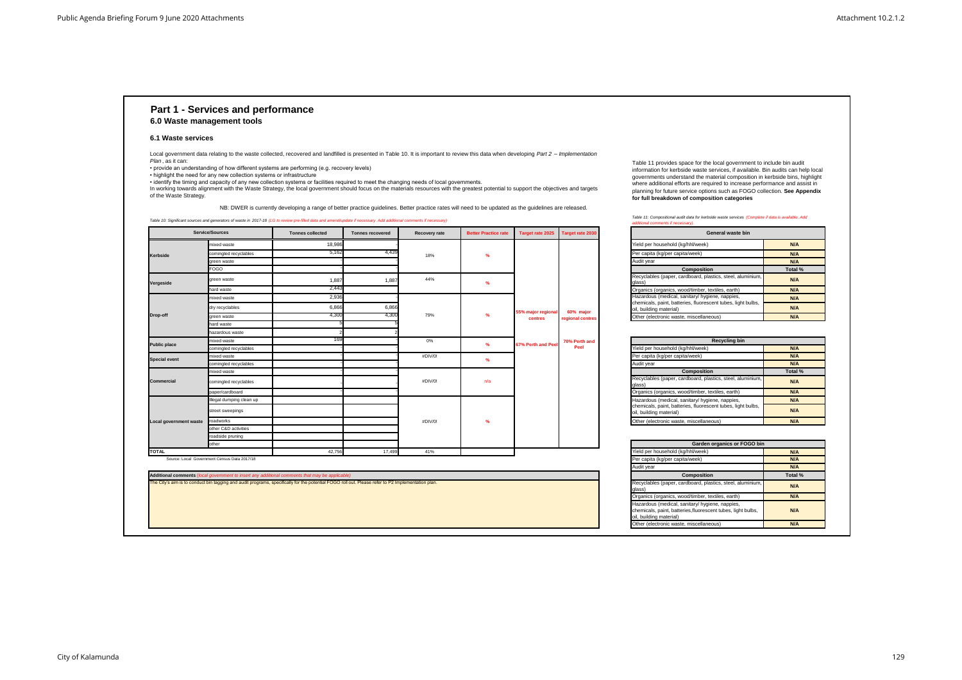### **Part 1 - Services and performance 6.0 Waste management tools**

#### **6.1 Waste services**

*Table 10: Significant sources and generators of waste in 2017-18 (LG to review pre-filled data and amend/update if necessary. Add additional comments if necessary)*

| waste bin        |         |
|------------------|---------|
|                  | N/A     |
|                  | N/A     |
|                  | N/A     |
|                  | Total % |
| teel, aluminium, | N/A     |
| earth)           | N/A     |
| ppies,           | N/A     |
| es, light bulbs, | N/A     |
|                  | N/A     |

| <b>I IGIG DCI TIOGSCHOIG (KG/TIHI/WCCK)</b>                                                                                                | <b>IVA</b> |
|--------------------------------------------------------------------------------------------------------------------------------------------|------------|
| Per capita (kg/per capita/week)                                                                                                            | N/A        |
| Audit year                                                                                                                                 | N/A        |
| <b>Composition</b>                                                                                                                         | Total      |
| Recyclables (paper, cardboard, plastics, steel, aluminium,<br>glass)                                                                       | N/A        |
| Organics (organics, wood/timber, textiles, earth)                                                                                          | N/A        |
| Hazardous (medical, sanitary/ hygiene, nappies,<br>chemicals, paint, batteries, fluorescent tubes, light bulbs,<br>oil, building material) | N/A        |
| Other (electronic waste, miscellaneous)                                                                                                    | N/A        |

• identify the timing and capacity of any new collection systems or facilities required to meet the changing needs of local governments. In working towards alignment with the Waste Strategy, the local government should focus on the materials resources with the greatest potential to support the objectives and targets

| Yield per household (kg/hhl/week)                                                                                                          |
|--------------------------------------------------------------------------------------------------------------------------------------------|
| Per capita (kg/per capita/week)                                                                                                            |
| Audit year                                                                                                                                 |
| Composition                                                                                                                                |
| Recyclables (paper, cardboard, plastics, steel, aluminium,<br>glass)                                                                       |
| Organics (organics, wood/timber, textiles, earth)                                                                                          |
| Hazardous (medical, sanitary/ hygiene, nappies,<br>chemicals, paint, batteries, fluorescent tubes, light bulbs,<br>oil, building material) |
| Other (electronic waste, miscellaneous)                                                                                                    |
| <b>Recycling bin</b>                                                                                                                       |
| Yield per household (kg/hhl/week)                                                                                                          |
| Per capita (kg/per capita/week)                                                                                                            |
| Audit year                                                                                                                                 |
| Composition                                                                                                                                |
| Recyclables (paper, cardboard, plastics, steel, aluminium,<br>glass)                                                                       |
| Organics (organics, wood/timber, textiles, earth)                                                                                          |
| Hazardous (medical, sanitary/ hygiene, nappies,<br>chemicals, paint, batteries, fluorescent tubes, light bulbs,<br>oil, building material) |
| Other (electronic waste, miscellaneous)                                                                                                    |
|                                                                                                                                            |
| Garden organics or FOGO bir                                                                                                                |
| Yield per household (ka/hhl/week)                                                                                                          |

| Recycling bin            |         |
|--------------------------|---------|
|                          | N/A     |
|                          | N/A     |
|                          | N/A     |
| ۱                        | Total % |
| stics, steel, aluminium, | N/A     |
| xtiles, earth)           | N/A     |
| ene, nappies,            | N/A     |
| ent tubes, light bulbs,  | N/A     |
| ous)                     | N/A     |

Local government data relating to the waste collected, recovered and landfilled is presented in Table 10. It is important to review this data when developing *Part 2* – *Implementation Plan* , as it can:

|                        | <b>Service/Sources</b>                        | <b>Tonnes collected</b> | <b>Tonnes recovered</b> | Recovery rate | <b>Better Practice rate</b> | Target rate 2025   | Target rate 2030 | General waste bin                                                                       |            |
|------------------------|-----------------------------------------------|-------------------------|-------------------------|---------------|-----------------------------|--------------------|------------------|-----------------------------------------------------------------------------------------|------------|
|                        | mixed waste                                   | 18,986                  |                         |               |                             |                    |                  | Yield per household (kg/hhl/week)                                                       | N/A        |
| <b>Kerbside</b>        | comingled recyclables                         | 5.162                   | 4,439                   | 18%           | $\frac{9}{6}$               |                    |                  | Per capita (kg/per capita/week)                                                         | N/A        |
|                        | green waste                                   |                         |                         |               |                             |                    |                  | Audit year                                                                              | N/A        |
|                        | <b>FOGO</b>                                   |                         |                         |               |                             |                    |                  | Composition                                                                             | Total %    |
| Vergeside              | green waste                                   | 1,887                   | 1,887                   | 44%           |                             |                    |                  | Recyclables (paper, cardboard, plastics, steel, aluminium,<br>alass)                    | N/A        |
|                        | hard waste                                    | 2,443                   |                         |               |                             |                    |                  | Organics (organics, wood/timber, textiles, earth)                                       | N/A        |
|                        | mixed waste                                   | 2,936                   |                         |               |                             |                    |                  | Hazardous (medical, sanitary/ hygiene, nappies,                                         | N/A        |
| Drop-off               | dry recyclables                               | 6,866                   | 6,866                   |               |                             | 55% major regional | 60% major        | chemicals, paint, batteries, fluorescent tubes, light bulbs,<br>oil, building material) | N/A        |
|                        | green waste                                   | 4,300                   | 4,300                   | 79%           | $\frac{9}{6}$               | centres            | regional centres | Other (electronic waste, miscellaneous)                                                 | N/A        |
|                        | hard waste                                    |                         |                         |               |                             |                    |                  |                                                                                         |            |
|                        | hazardous waste                               |                         |                         |               |                             |                    |                  |                                                                                         |            |
| <b>Public place</b>    | mixed waste                                   |                         |                         | 0%            | $\%$                        | 67% Perth and Peel | 70% Perth and    | <b>Recycling bin</b>                                                                    |            |
|                        | comingled recyclables                         |                         |                         |               |                             |                    | Peel             | Yield per household (kg/hhl/week)                                                       | N/A        |
| <b>Special event</b>   | mixed waste                                   |                         |                         | #DIV/0!       | %                           |                    |                  | Per capita (kg/per capita/week)                                                         | N/A        |
|                        | comingled recyclables                         |                         |                         |               |                             |                    |                  | Audit year                                                                              | N/A        |
|                        | mixed waste                                   |                         |                         |               |                             |                    |                  | Composition                                                                             | Total %    |
| <b>Commercial</b>      | comingled recyclables                         |                         |                         | #DIV/0!       | n/a                         |                    |                  | Recyclables (paper, cardboard, plastics, steel, aluminium,<br>alass)                    | N/A        |
|                        | paper/cardboard                               |                         |                         |               |                             |                    |                  | Organics (organics, wood/timber, textiles, earth)                                       | N/A        |
|                        | Illegal dumping clean up                      |                         |                         |               |                             |                    |                  | Hazardous (medical, sanitary/ hygiene, nappies,                                         | N/A        |
|                        | street sweepings                              |                         |                         |               |                             |                    |                  | chemicals, paint, batteries, fluorescent tubes, light bulbs,<br>oil, building material) | N/A        |
| Local government waste | roadworks                                     |                         |                         | #DIV/0!       | $\frac{9}{6}$               |                    |                  | Other (electronic waste, miscellaneous)                                                 | N/A        |
|                        | other C&D activities                          |                         |                         |               |                             |                    |                  |                                                                                         |            |
|                        | roadside pruning                              |                         |                         |               |                             |                    |                  |                                                                                         |            |
|                        | other                                         |                         |                         |               |                             |                    |                  | Garden organics or FOGO bin                                                             |            |
| <b>TOTAL</b>           |                                               | 42,756                  | 17,499                  | 41%           |                             |                    |                  | Yield per household (kg/hhl/week)                                                       | N/A        |
|                        | Source: Local, Government Census Data 2017/18 |                         |                         |               |                             |                    |                  | Der copita (kalper copitalwook)                                                         | <b>NIA</b> |

• provide an understanding of how different systems are performing (e.g. recovery levels)

• highlight the need for any new collection systems or infrastructure

of the Waste Strategy.

| Garden organics or FOGO bin |  |  |  |  |  |  |
|-----------------------------|--|--|--|--|--|--|
| N/A                         |  |  |  |  |  |  |
| N/A                         |  |  |  |  |  |  |
| N/A                         |  |  |  |  |  |  |
| Total %                     |  |  |  |  |  |  |
| N/A                         |  |  |  |  |  |  |
| N/A                         |  |  |  |  |  |  |
| N/A                         |  |  |  |  |  |  |
| N/A                         |  |  |  |  |  |  |
|                             |  |  |  |  |  |  |

Table 11 provides space for the local government to include bin audit information for kerbside waste services, if available. Bin audits can help local governments understand the material composition in kerbside bins, highlight where additional efforts are required to increase performance and assist in planning for future service options such as FOGO collection. **See Appendix for full breakdown of composition categories**

NB: DWER is currently developing a range of better practice guidelines. Better practice rates will need to be updated as the guidelines are released.

The City's aim is to conduct bin tagging and audit programs, specifically for the potential FOGO roll out. Please refer to P2 Implementation plan.

Source: Local Government Census Data 2017/18

**Additional comments** (*local government to insert any additional comments that may be applicable)* 

*Table 11: Compositional audit data for kerbside waste services (Complete if data is available. Add* 

*additional comments if necessary).*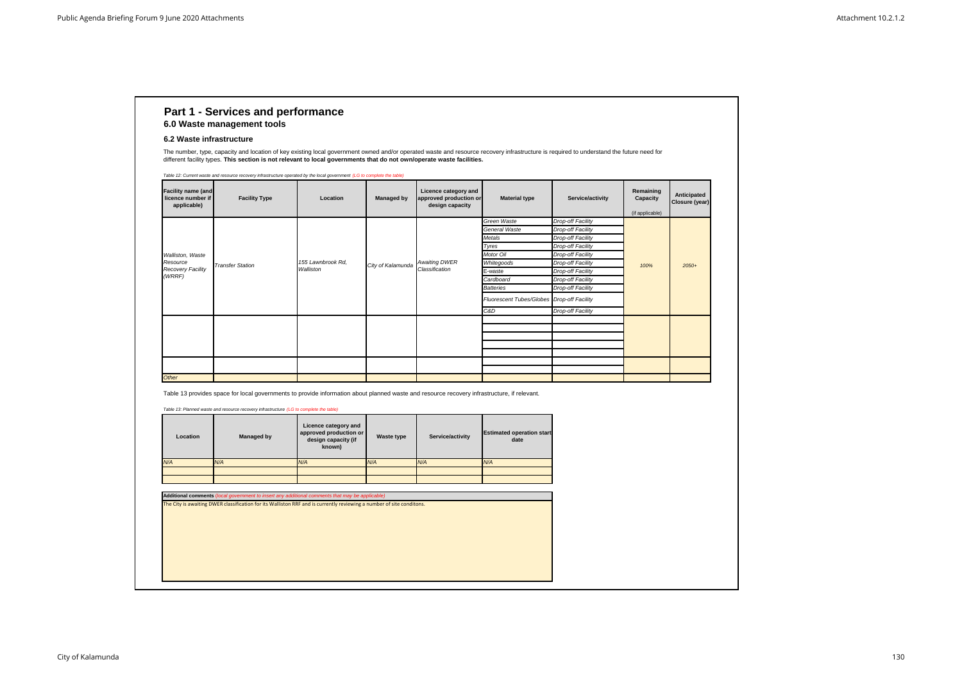## **Part 1 - Services and performance 6.0 Waste management tools**

| <b>Location</b> | <b>Managed by</b> | Licence category and<br>approved production or<br>design capacity (if<br>known) | Waste type | Service/activity | <b>Estimated operation start</b><br>date |
|-----------------|-------------------|---------------------------------------------------------------------------------|------------|------------------|------------------------------------------|
| N/A             | N/A               | N/A                                                                             | N/A        | N/A              | N/A                                      |
|                 |                   |                                                                                 |            |                  |                                          |
|                 |                   |                                                                                 |            |                  |                                          |

Table 13 provides space for local governments to provide information about planned waste and resource recovery infrastructure, if relevant.

| <b>Facility name (and</b><br>licence number if<br>applicable) | <b>Facility Type</b>    | Location                       | <b>Managed by</b> | Licence category and<br>approved production or<br>design capacity | <b>Material type</b>                       | Service/activity  | Remaining<br>Capacity<br>(if applicable) | Anticipated<br>Closure (year) |
|---------------------------------------------------------------|-------------------------|--------------------------------|-------------------|-------------------------------------------------------------------|--------------------------------------------|-------------------|------------------------------------------|-------------------------------|
|                                                               |                         |                                |                   |                                                                   | Green Waste                                | Drop-off Facility |                                          |                               |
|                                                               |                         |                                |                   |                                                                   | General Waste                              | Drop-off Facility |                                          |                               |
|                                                               |                         |                                |                   |                                                                   | Metals                                     | Drop-off Facility |                                          |                               |
|                                                               |                         |                                |                   |                                                                   | Tyres                                      | Drop-off Facility |                                          | $2050+$                       |
| Walliston, Waste                                              |                         |                                |                   |                                                                   | <b>Motor Oil</b>                           | Drop-off Facility |                                          |                               |
| Resource                                                      | <b>Transfer Station</b> | 155 Lawnbrook Rd,<br>Walliston | City of Kalamunda | <b>Awaiting DWER</b><br>Classification                            | Whitegoods                                 | Drop-off Facility | 100%                                     |                               |
| <b>Recovery Facility</b>                                      |                         |                                |                   |                                                                   | E-waste                                    | Drop-off Facility |                                          |                               |
| (WRRF)                                                        |                         |                                |                   |                                                                   | Cardboard                                  | Drop-off Facility |                                          |                               |
|                                                               |                         |                                |                   |                                                                   | <b>Batteries</b>                           | Drop-off Facility |                                          |                               |
|                                                               |                         |                                |                   |                                                                   | Fluorescent Tubes/Globes Drop-off Facility |                   |                                          |                               |
|                                                               |                         |                                |                   |                                                                   | C&D                                        | Drop-off Facility |                                          |                               |
|                                                               |                         |                                |                   |                                                                   |                                            |                   |                                          |                               |
|                                                               |                         |                                |                   |                                                                   |                                            |                   |                                          |                               |
|                                                               |                         |                                |                   |                                                                   |                                            |                   |                                          |                               |
|                                                               |                         |                                |                   |                                                                   |                                            |                   |                                          |                               |
|                                                               |                         |                                |                   |                                                                   |                                            |                   |                                          |                               |
|                                                               |                         |                                |                   |                                                                   |                                            |                   |                                          |                               |
|                                                               |                         |                                |                   |                                                                   |                                            |                   |                                          |                               |
| <b>Other</b>                                                  |                         |                                |                   |                                                                   |                                            |                   |                                          |                               |

The City is awaiting DWER classification for its Walliston RRF and is currently reviewing a number of site conditons.

**Additional comments** (*local government to insert any additional comments that may be applicable)*

*Table 13: Planned waste and resource recovery infrastructure (LG to complete the table)*

#### **6.2 Waste infrastructure**

The number, type, capacity and location of key existing local government owned and/or operated waste and resource recovery infrastructure is required to understand the future need for different facility types. **This section is not relevant to local governments that do not own/operate waste facilities.**

*Table 12: Current waste and resource recovery infrastructure operated by the local government (LG to complete the table)*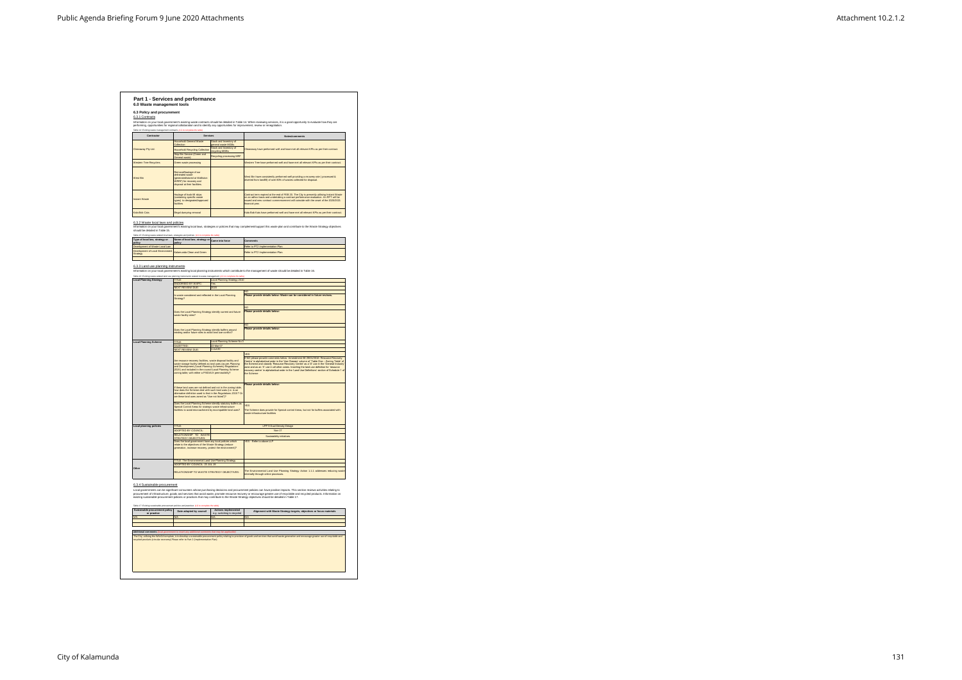| 6.0 Waste management tools                                                                                                                  |                                                                                                                             |                                                                        |                                                                                                                                                                                                                                                                                                                                                                                                                                                 |
|---------------------------------------------------------------------------------------------------------------------------------------------|-----------------------------------------------------------------------------------------------------------------------------|------------------------------------------------------------------------|-------------------------------------------------------------------------------------------------------------------------------------------------------------------------------------------------------------------------------------------------------------------------------------------------------------------------------------------------------------------------------------------------------------------------------------------------|
| 6.3 Policy and procurement<br>6.3.1 Contracts                                                                                               |                                                                                                                             |                                                                        |                                                                                                                                                                                                                                                                                                                                                                                                                                                 |
|                                                                                                                                             |                                                                                                                             |                                                                        | Information on your local government's existing waste contracts should be detailed in Table 14. When reviewing services, it is a good opportunity to evaluate how they are<br>performing, opportunities for regional collaboration and to identify any opportunities for improvement, review or renegotiation.                                                                                                                                  |
| Table 14: Existing waste management contracts (LG to co                                                                                     |                                                                                                                             |                                                                        |                                                                                                                                                                                                                                                                                                                                                                                                                                                 |
| Contractor                                                                                                                                  | Services                                                                                                                    |                                                                        | Notes/comments                                                                                                                                                                                                                                                                                                                                                                                                                                  |
|                                                                                                                                             | <b>Household General Waste</b><br>Collection                                                                                | Stock and Inventory of<br>general waste MGBs<br>Stock and Inventory of |                                                                                                                                                                                                                                                                                                                                                                                                                                                 |
| Cleanaway Pty Ltd.                                                                                                                          | <b>Household Recycling Collection</b>                                                                                       | ecvcling MGBs                                                          | Cleanaway have performed well and have met all relevant KPIs as per their contract.                                                                                                                                                                                                                                                                                                                                                             |
|                                                                                                                                             | Skip Bin Service (Green and<br>neral waste)                                                                                 | Recycling processing MRF                                               |                                                                                                                                                                                                                                                                                                                                                                                                                                                 |
| Western Tree Recyclers                                                                                                                      | Green waste processing                                                                                                      |                                                                        | Western Tree have performed well and have met all relevant KPIs as per their contract.                                                                                                                                                                                                                                                                                                                                                          |
|                                                                                                                                             | Removal/haulage of our                                                                                                      |                                                                        |                                                                                                                                                                                                                                                                                                                                                                                                                                                 |
| West Bin                                                                                                                                    | delineated waste<br>generated/stored at Walliston                                                                           |                                                                        | West Bin have consistently performed well providing a recovery rate (processed &<br>diverted from landfill) of over 80% of wastes collected for disposal.                                                                                                                                                                                                                                                                                       |
|                                                                                                                                             | WRRF) for recovery and<br>disposal at their facilities.                                                                     |                                                                        |                                                                                                                                                                                                                                                                                                                                                                                                                                                 |
|                                                                                                                                             |                                                                                                                             |                                                                        |                                                                                                                                                                                                                                                                                                                                                                                                                                                 |
| <b>Instant Waste</b>                                                                                                                        | Haulage of hook-lift skips<br>(containing specific waste                                                                    |                                                                        | Contract term expired at the end of FEB 20. The City is presently utilising Instant Waste<br>on an adhoc basis and undertaking a contract performance evaluation. An RFT will be<br>issued and new contract commencement will coincide with the onset of the 2020/2021                                                                                                                                                                          |
|                                                                                                                                             | types) to designated/approved<br>acilities                                                                                  |                                                                        | linancial year.                                                                                                                                                                                                                                                                                                                                                                                                                                 |
| Kala Bob Cats                                                                                                                               | Illegal dumping removal                                                                                                     |                                                                        | Kala Bob Kats have performed well and have met all relevant KPIs as per their contract.                                                                                                                                                                                                                                                                                                                                                         |
|                                                                                                                                             |                                                                                                                             |                                                                        |                                                                                                                                                                                                                                                                                                                                                                                                                                                 |
| 6.3.2 Waste local laws and policies                                                                                                         |                                                                                                                             |                                                                        |                                                                                                                                                                                                                                                                                                                                                                                                                                                 |
| should be detailed in Table 15.                                                                                                             |                                                                                                                             |                                                                        | Information on your local government's existing local laws, strategies or policies that may complement/support this waste plan and contribute to the Waste Strategy objectives                                                                                                                                                                                                                                                                  |
| Table 15: Existing waste-related local laws<br>Type of local law, strategy or                                                               | gies and policies (LC<br>Name of local law, strategy or                                                                     |                                                                        |                                                                                                                                                                                                                                                                                                                                                                                                                                                 |
| oolicy<br>Develop<br>ste Local La                                                                                                           | policy                                                                                                                      | Came into force                                                        | Comments<br>ir to PT2 Implementation Plan                                                                                                                                                                                                                                                                                                                                                                                                       |
| Development of Local Environment                                                                                                            | Kalamunda Clean and Green                                                                                                   |                                                                        | Refer to PT2 Implementation Plan.                                                                                                                                                                                                                                                                                                                                                                                                               |
| Strategy                                                                                                                                    |                                                                                                                             |                                                                        |                                                                                                                                                                                                                                                                                                                                                                                                                                                 |
|                                                                                                                                             |                                                                                                                             |                                                                        |                                                                                                                                                                                                                                                                                                                                                                                                                                                 |
| 6.3.3 Land use planning instruments                                                                                                         |                                                                                                                             |                                                                        | Information on your local government's existing local planning instruments which contribute to the management of waste should be detailed in Table 16.                                                                                                                                                                                                                                                                                          |
|                                                                                                                                             | Table 16: Existing waste-related land use planning instruments related to waste management (LG to complete the table        |                                                                        |                                                                                                                                                                                                                                                                                                                                                                                                                                                 |
| <b>Local Planning Strategy</b>                                                                                                              | TITLE:                                                                                                                      | <b>Local Planning Strategy 2010</b><br>Yes                             |                                                                                                                                                                                                                                                                                                                                                                                                                                                 |
|                                                                                                                                             | <b>ENDORSED BY WAPC</b><br><b>NEXT REVIEW DUE</b>                                                                           | 2020                                                                   |                                                                                                                                                                                                                                                                                                                                                                                                                                                 |
|                                                                                                                                             | Is waste considered and reflected in the Local Planning                                                                     |                                                                        | Please provide details below: Waste can be considered in future reviews.                                                                                                                                                                                                                                                                                                                                                                        |
|                                                                                                                                             | Strategy?                                                                                                                   |                                                                        |                                                                                                                                                                                                                                                                                                                                                                                                                                                 |
|                                                                                                                                             |                                                                                                                             |                                                                        | NO                                                                                                                                                                                                                                                                                                                                                                                                                                              |
|                                                                                                                                             | Does the Local Planning Strategy identify current and future                                                                |                                                                        | Please provide details below:                                                                                                                                                                                                                                                                                                                                                                                                                   |
|                                                                                                                                             | waste facility sites?                                                                                                       |                                                                        |                                                                                                                                                                                                                                                                                                                                                                                                                                                 |
|                                                                                                                                             |                                                                                                                             |                                                                        | NO                                                                                                                                                                                                                                                                                                                                                                                                                                              |
|                                                                                                                                             | Does the Local Planning Strategy identify buffers around<br>existing and/or future sites to avoid land use conflict?        |                                                                        | Please provide details below:                                                                                                                                                                                                                                                                                                                                                                                                                   |
|                                                                                                                                             |                                                                                                                             | Local Planning Scheme No 3                                             |                                                                                                                                                                                                                                                                                                                                                                                                                                                 |
| <b>Local Planning Scheme</b>                                                                                                                | <b>TITLE</b><br>GAZETTED:                                                                                                   | 22-Mar-07                                                              |                                                                                                                                                                                                                                                                                                                                                                                                                                                 |
|                                                                                                                                             | <b>NEXT REVIEW DUE:</b>                                                                                                     | 1-Jul-20                                                               | <b>FES</b>                                                                                                                                                                                                                                                                                                                                                                                                                                      |
|                                                                                                                                             | Are resource recovery facilities, waste disposal facility and                                                               |                                                                        | If NO please provide comments below: Amendment 68 29/01/2016: Resource Recover                                                                                                                                                                                                                                                                                                                                                                  |
|                                                                                                                                             | waste storage facility defined as land uses (as per Planning                                                                |                                                                        | Centre' in alphabetical order in the 'Use Classes' column of 'Table One - Zoning Table' of<br>the Scheme and classify 'Resource Recovery Centre' as a 'D' use in the 'General Industry                                                                                                                                                                                                                                                          |
|                                                                                                                                             | and Development (Local Planning Schemes) Regulations<br>2015) and included in the council Local Planning Scheme             |                                                                        | zone and as an 'X' use in all other zones. Inserting the land use definition for 'resource                                                                                                                                                                                                                                                                                                                                                      |
|                                                                                                                                             |                                                                                                                             |                                                                        |                                                                                                                                                                                                                                                                                                                                                                                                                                                 |
|                                                                                                                                             | zoning table, with either a P/I/D/A/X permissibility?                                                                       |                                                                        |                                                                                                                                                                                                                                                                                                                                                                                                                                                 |
|                                                                                                                                             |                                                                                                                             |                                                                        |                                                                                                                                                                                                                                                                                                                                                                                                                                                 |
|                                                                                                                                             | If these land uses are not defined and not in the zoning table.                                                             |                                                                        | Please provide details below:                                                                                                                                                                                                                                                                                                                                                                                                                   |
|                                                                                                                                             | how does the Scheme deal with such land uses (i.e. is an<br>alternative definition used to that in the Regulations 2015? Or |                                                                        |                                                                                                                                                                                                                                                                                                                                                                                                                                                 |
|                                                                                                                                             | are these land uses zoned as "Use not listed")?                                                                             |                                                                        |                                                                                                                                                                                                                                                                                                                                                                                                                                                 |
|                                                                                                                                             | Does the Local Planning Scheme identify statutory buffers as<br>Special Control Areas for strategic waste infrastructure    |                                                                        | YES                                                                                                                                                                                                                                                                                                                                                                                                                                             |
|                                                                                                                                             | facilities to avoid encroachment by incompatible land uses?                                                                 |                                                                        | vaste infrastructure facilities                                                                                                                                                                                                                                                                                                                                                                                                                 |
|                                                                                                                                             |                                                                                                                             |                                                                        |                                                                                                                                                                                                                                                                                                                                                                                                                                                 |
|                                                                                                                                             | TITLE:                                                                                                                      |                                                                        | LPP 9 Dual Density Design                                                                                                                                                                                                                                                                                                                                                                                                                       |
|                                                                                                                                             | ADOPTED BY COUNCIL                                                                                                          |                                                                        | The Scheme does provide for Special control Areas, but not for buffers associated with                                                                                                                                                                                                                                                                                                                                                          |
|                                                                                                                                             | RFI ATIONSHIP TO WASTE<br><b>STRATEGY OBJECTIVES</b>                                                                        |                                                                        | Sustaiability initiatives                                                                                                                                                                                                                                                                                                                                                                                                                       |
|                                                                                                                                             | Does the local government have any local policies which<br>relate to the objectives of the Waste Strategy (reduce           |                                                                        | YES - Refer to above LLP                                                                                                                                                                                                                                                                                                                                                                                                                        |
|                                                                                                                                             | generation, increase recovery, protect the environment)?                                                                    |                                                                        |                                                                                                                                                                                                                                                                                                                                                                                                                                                 |
|                                                                                                                                             |                                                                                                                             |                                                                        |                                                                                                                                                                                                                                                                                                                                                                                                                                                 |
|                                                                                                                                             | <b>TITLE: The Environmental Land Use Planning Strategy</b><br>ADOPTED BY COUNCIL: 23 JUL 19                                 |                                                                        |                                                                                                                                                                                                                                                                                                                                                                                                                                                 |
|                                                                                                                                             | RELATIONSHIP TO WASTE STRATEGY OBJECTIVES:                                                                                  |                                                                        |                                                                                                                                                                                                                                                                                                                                                                                                                                                 |
|                                                                                                                                             |                                                                                                                             |                                                                        | internally through online processes.                                                                                                                                                                                                                                                                                                                                                                                                            |
| <b>Local planning policies</b><br>Other                                                                                                     |                                                                                                                             |                                                                        |                                                                                                                                                                                                                                                                                                                                                                                                                                                 |
| 6.3.4 Sustainable procurement                                                                                                               |                                                                                                                             |                                                                        |                                                                                                                                                                                                                                                                                                                                                                                                                                                 |
|                                                                                                                                             |                                                                                                                             |                                                                        | Local governments can be significant consumers whose purchasing decisions and procurement policies can have positive impacts. This section reviews activities relating to                                                                                                                                                                                                                                                                       |
|                                                                                                                                             |                                                                                                                             |                                                                        | existing sustainable procurement policies or practices that may contribute to the Waste Strategy objectives should be detailed in Table 17.                                                                                                                                                                                                                                                                                                     |
|                                                                                                                                             |                                                                                                                             |                                                                        |                                                                                                                                                                                                                                                                                                                                                                                                                                                 |
| Table 17: Existing sustainable procurement policies and practices (LG to con<br>Sustainable procurement policy<br>or practice<br><b>N/A</b> | Date adopted by council<br>N/A                                                                                              | <b>Actions implemented</b><br>e.g. switching to recycled<br>N/A        | recovery centre' in alphabetical order in the 'Land Use Definitions' section of Schedule 1 of<br>The Environmental Land Use Planning Strategy Action 1.1.1 addresses reducing wast<br>procurement of infrastructure, goods and services that avoid waste, promote resource recovery or encourage greater use of recyclable and recycled products. Information on<br>Alignment with Waste Strategy targets, objectives or focus materials<br>N/A |

The City, utilising the WALGA template, is to develop a sustainable procurement policy relating to provision of goods and services that avoid waste generation and encourage greater use of recyclable and recycled products (circular economy) Please refer to Part 2 (Implementation Plan).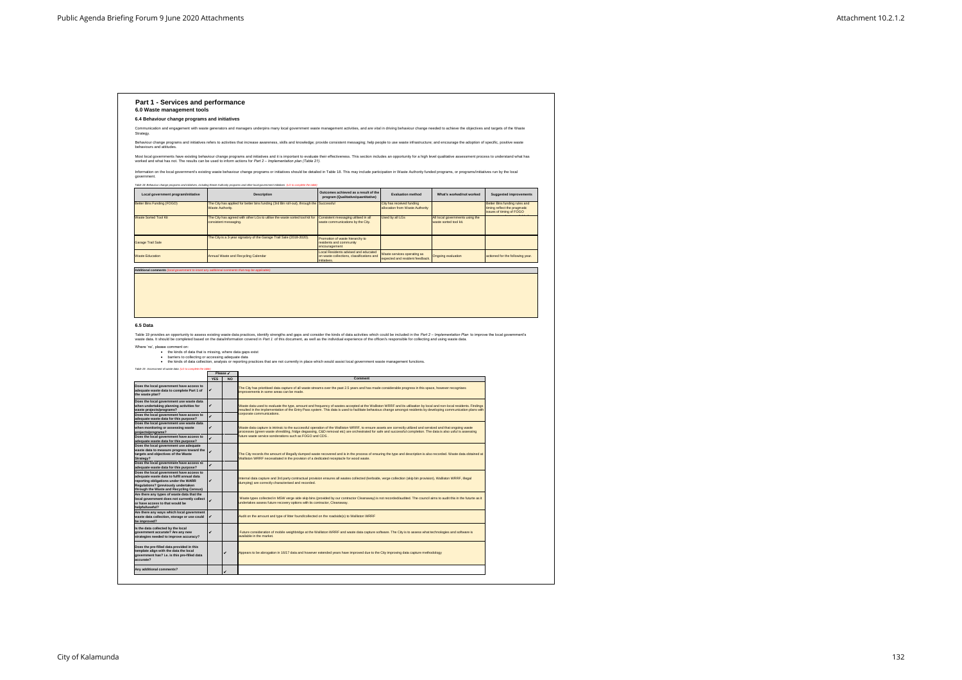| 6.4 Behaviour change programs and initiatives                                                                                                                                                                                                                                                                                                                                                                                                                                                                                                                                                                                                                                                                                                                          |                        |                       |                                                                                                                                                                                                                                                                                                                                                                                                                                               |                                                                                                  |                                                              |                                                           |                                                                |
|------------------------------------------------------------------------------------------------------------------------------------------------------------------------------------------------------------------------------------------------------------------------------------------------------------------------------------------------------------------------------------------------------------------------------------------------------------------------------------------------------------------------------------------------------------------------------------------------------------------------------------------------------------------------------------------------------------------------------------------------------------------------|------------------------|-----------------------|-----------------------------------------------------------------------------------------------------------------------------------------------------------------------------------------------------------------------------------------------------------------------------------------------------------------------------------------------------------------------------------------------------------------------------------------------|--------------------------------------------------------------------------------------------------|--------------------------------------------------------------|-----------------------------------------------------------|----------------------------------------------------------------|
|                                                                                                                                                                                                                                                                                                                                                                                                                                                                                                                                                                                                                                                                                                                                                                        |                        |                       | Communication and engagement with waste generators and managers underpins many local government waste management activities, and are vital in driving behaviour change needed to achieve the objectives and targets of the Was                                                                                                                                                                                                                |                                                                                                  |                                                              |                                                           |                                                                |
| Strategy.                                                                                                                                                                                                                                                                                                                                                                                                                                                                                                                                                                                                                                                                                                                                                              |                        |                       | Behaviour change programs and initiatives refers to activities that increase awareness, skills and knowledge; provide consistent messaging; help people to use waste infrastructure; and encourage the adoption of specific, p                                                                                                                                                                                                                |                                                                                                  |                                                              |                                                           |                                                                |
| behaviours and attitudes.                                                                                                                                                                                                                                                                                                                                                                                                                                                                                                                                                                                                                                                                                                                                              |                        |                       |                                                                                                                                                                                                                                                                                                                                                                                                                                               |                                                                                                  |                                                              |                                                           |                                                                |
|                                                                                                                                                                                                                                                                                                                                                                                                                                                                                                                                                                                                                                                                                                                                                                        |                        |                       | Most local governments have existing behaviour change programs and initiatives and it is important to evaluate their effectiveness. This section includes an opportunity for a high level qualitative assessment process to un<br>worked and what has not. The results can be used to inform actions for Part 2 - Implementation plan (Table 21).                                                                                             |                                                                                                  |                                                              |                                                           |                                                                |
| government.                                                                                                                                                                                                                                                                                                                                                                                                                                                                                                                                                                                                                                                                                                                                                            |                        |                       | Information on the local government's existing waste behaviour change programs or initiatives should be detailed in Table 18. This may include participation in Waste Authority funded programs, or programs/initiatives run b                                                                                                                                                                                                                |                                                                                                  |                                                              |                                                           |                                                                |
| Local government program/initiative                                                                                                                                                                                                                                                                                                                                                                                                                                                                                                                                                                                                                                                                                                                                    |                        |                       | Table 18: Behaviour change programs and initiatives, including Waste Authority programs and other local government initiatives (LG to complete the table)<br><b>Description</b>                                                                                                                                                                                                                                                               | Outcomes achieved as a result of the                                                             | <b>Evaluation method</b>                                     | What's worked/not worked                                  |                                                                |
| <b>Better Bins Funding (FOGO)</b>                                                                                                                                                                                                                                                                                                                                                                                                                                                                                                                                                                                                                                                                                                                                      |                        |                       | The City has applied for better bins funding (3rd Bin roll-out), through the                                                                                                                                                                                                                                                                                                                                                                  | program (Qualitative/quantitative)<br>Successful                                                 | City has received funding                                    |                                                           | <b>Suggested improvements</b><br>Better Bins funding rules and |
|                                                                                                                                                                                                                                                                                                                                                                                                                                                                                                                                                                                                                                                                                                                                                                        | <b>Waste Authority</b> |                       |                                                                                                                                                                                                                                                                                                                                                                                                                                               |                                                                                                  | allocation from Waste Authority                              |                                                           | iming reflect the pragmatic<br>ssues of timing of FOGO         |
| <b>Waste Sorted Tool Kit</b>                                                                                                                                                                                                                                                                                                                                                                                                                                                                                                                                                                                                                                                                                                                                           |                        | consistent messaging. | The City has agreed with other LGs to utilise the waste sorted tool kit for                                                                                                                                                                                                                                                                                                                                                                   | Consistent messaging utilised in all<br>waste communications by the City.                        | Used by all LGs                                              | All local governments using the<br>waste sorted tool kit. |                                                                |
| Garage Trail Sale                                                                                                                                                                                                                                                                                                                                                                                                                                                                                                                                                                                                                                                                                                                                                      |                        |                       | The City is a 3-year signatory of the Garage Trail Sale (2018-2020).                                                                                                                                                                                                                                                                                                                                                                          | Promotion of waste hierarchy to<br>esidents and community<br>encouragement                       |                                                              |                                                           |                                                                |
| <b>Waste Education</b>                                                                                                                                                                                                                                                                                                                                                                                                                                                                                                                                                                                                                                                                                                                                                 |                        |                       | Annual Waste and Recycling Calendar                                                                                                                                                                                                                                                                                                                                                                                                           | ocal Residents advised and educated<br>on waste collections, classifications and<br>initiatives. | Vaste services operating as<br>xpected and resident feedback | <b>Ongoing evaluation</b>                                 | actioned for the following year.                               |
| Additional comments (local government to insert any additional comm                                                                                                                                                                                                                                                                                                                                                                                                                                                                                                                                                                                                                                                                                                    |                        |                       |                                                                                                                                                                                                                                                                                                                                                                                                                                               |                                                                                                  |                                                              |                                                           |                                                                |
|                                                                                                                                                                                                                                                                                                                                                                                                                                                                                                                                                                                                                                                                                                                                                                        |                        |                       | Table 19 provides an opportunity to assess existing waste data practices, identify strengths and gaps and consider the kinds of data activities which could be included in the Part 2 - Implementation Plan to improve the loc<br>waste data. It should be completed based on the data/information covered in Part 1 of this document, as well as the individual experience of the officer/s responsible for collecting and using waste data. |                                                                                                  |                                                              |                                                           |                                                                |
| • the kinds of data that is missing, where data gaps exist<br>barriers to collecting or accessing adequate data                                                                                                                                                                                                                                                                                                                                                                                                                                                                                                                                                                                                                                                        |                        |                       | • the kinds of data collection, analysis or reporting practices that are not currently in place which would assist local government waste management functions.                                                                                                                                                                                                                                                                               |                                                                                                  |                                                              |                                                           |                                                                |
|                                                                                                                                                                                                                                                                                                                                                                                                                                                                                                                                                                                                                                                                                                                                                                        |                        | Please v              |                                                                                                                                                                                                                                                                                                                                                                                                                                               | Comment                                                                                          |                                                              |                                                           |                                                                |
|                                                                                                                                                                                                                                                                                                                                                                                                                                                                                                                                                                                                                                                                                                                                                                        | <b>YES</b>             | <b>NO</b>             | The City has prioritised data capture of all waste streams over the past 2.5 years and has made considerable progress in this space, however recognises<br>mprovements in some areas can be made.                                                                                                                                                                                                                                             |                                                                                                  |                                                              |                                                           |                                                                |
|                                                                                                                                                                                                                                                                                                                                                                                                                                                                                                                                                                                                                                                                                                                                                                        |                        |                       | Waste data used to evaluate the type, amount and frequency of wastes accepted at the Walliston WRRF and its utilisation by local and non-local residents. Findings<br>esulted in the implementation of the Entry Pass system. This data is used to facilitate behavious change amongst residents by developing communication plans with                                                                                                       |                                                                                                  |                                                              |                                                           |                                                                |
|                                                                                                                                                                                                                                                                                                                                                                                                                                                                                                                                                                                                                                                                                                                                                                        |                        |                       | corporate communications.                                                                                                                                                                                                                                                                                                                                                                                                                     |                                                                                                  |                                                              |                                                           |                                                                |
|                                                                                                                                                                                                                                                                                                                                                                                                                                                                                                                                                                                                                                                                                                                                                                        |                        |                       | Waste data capture is intrinsic to the successful operation of the Walliston WRRF, to ensure assets are correctly utilized and serviced and that ongoing waste<br>processes (green waste shredding, fridge degassing, C&D removal etc) are orchestrated for safe and successful completion. The data is also usful is assessing                                                                                                               |                                                                                                  |                                                              |                                                           |                                                                |
|                                                                                                                                                                                                                                                                                                                                                                                                                                                                                                                                                                                                                                                                                                                                                                        |                        |                       | uture waste service sonderations such as FOGO and CDS                                                                                                                                                                                                                                                                                                                                                                                         |                                                                                                  |                                                              |                                                           |                                                                |
| 6.5 Data<br>Where 'no', please comment on:<br>Table 19: Assessment of waste data (LG to complete the tabl<br>Does the local government have access to<br>adequate waste data to complete Part 1 of<br>the waste plan?<br>Does the local government use waste data<br>when undertaking planning activities for<br>waste projects/programs?<br>Does the local government have access to<br>adequate waste data for this purpose?<br>Does the local government use waste data<br>when monitoring or assessing waste<br>projects/programs?<br>Does the local government have access to<br>adequate waste data for this purpose?<br>Does the local government use adequate<br>waste data to measure progress toward the<br>targets and objectives of the Waste<br>Strategy? | J                      |                       | The City records the amount of illegally dumped waste recovered and is in the process of ensuring the type and description is also recorded. Waste data obtained at<br>Walliston WRRF necessitated in the provision of a dedicated receptacle for wood waste.                                                                                                                                                                                 |                                                                                                  |                                                              |                                                           |                                                                |
|                                                                                                                                                                                                                                                                                                                                                                                                                                                                                                                                                                                                                                                                                                                                                                        |                        |                       |                                                                                                                                                                                                                                                                                                                                                                                                                                               |                                                                                                  |                                                              |                                                           |                                                                |
|                                                                                                                                                                                                                                                                                                                                                                                                                                                                                                                                                                                                                                                                                                                                                                        |                        |                       | Internal data capture and 3rd party contractual provision ensures all wastes collected (kerbside, verge collection (skip bin provision), Walliston WRRF, illegal<br>dumping) are correctly characterised and recorded.                                                                                                                                                                                                                        |                                                                                                  |                                                              |                                                           |                                                                |
| Does the local government have access to<br>adequate waste data for this purpose?<br>Does the local government have access to<br>adequate waste data to fulfil annual data<br>reporting obligations under the WARR<br>Regulations? (previously undertaken<br>through the Waste and Recycling Census)<br>Are there any types of waste data that the<br>local government does not currently collect<br>or have access to that would be                                                                                                                                                                                                                                                                                                                                   |                        |                       | Waste types collected in MSW verge side skip bins (provided by our contractor Cleanaway) is not recorded/audited. The council aims to audit this in the futurte as it<br>undertakes assess future recovery options with its contractor, Cleanaway.                                                                                                                                                                                            |                                                                                                  |                                                              |                                                           |                                                                |
| helpful/useful?<br>Are there any ways which local government<br>waste data collection, storage or use could<br>be improved?                                                                                                                                                                                                                                                                                                                                                                                                                                                                                                                                                                                                                                            |                        |                       | Audit on the amount and type of litter found/collected on the roadside(s) to Walliston WRRF                                                                                                                                                                                                                                                                                                                                                   |                                                                                                  |                                                              |                                                           |                                                                |
| Is the data collected by the local<br>government accurate? Are any new<br>strategies needed to improve accuracy?                                                                                                                                                                                                                                                                                                                                                                                                                                                                                                                                                                                                                                                       |                        |                       | Future consideration of mobile weighbridge at the Walliston WRRF and waste data capture software. The City is to assess what technologies and software is<br>available in the market.                                                                                                                                                                                                                                                         |                                                                                                  |                                                              |                                                           |                                                                |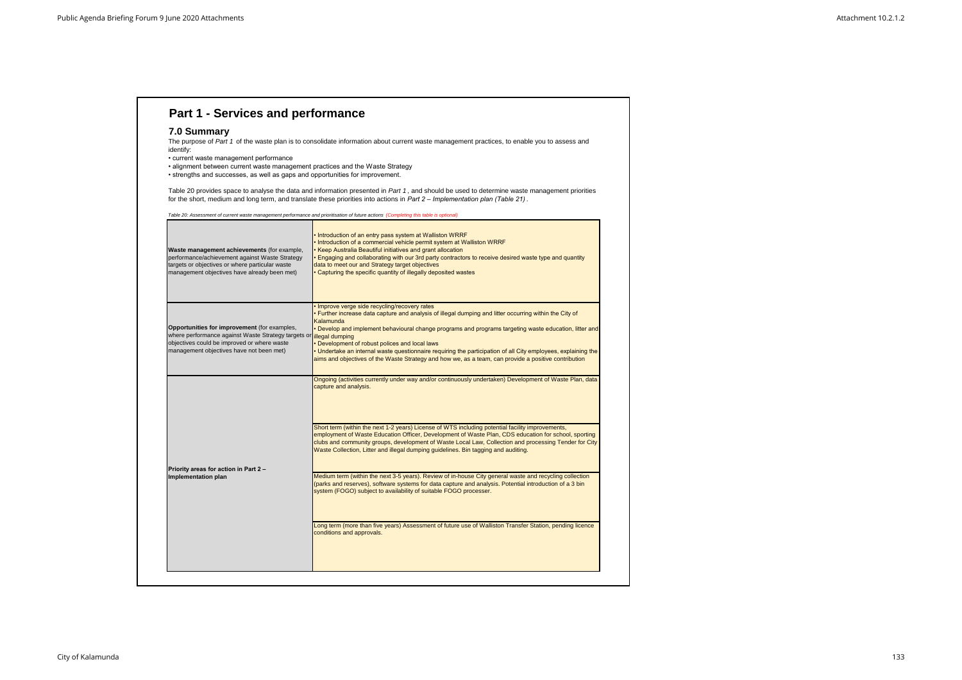### **7.0 Summary**

The purpose of Part 1 of the waste plan is to consolidate information about current waste management practices, to enable you to assess and identify:

| Waste management achievements (for example,<br>performance/achievement against Waste Strategy<br>targets or objectives or where particular waste<br>management objectives have already been met) | Introduction of an entry pass system at Walliston WRRF<br>Introduction of a commercial vehicle permit system at Walliston WRRF<br>Keep Australia Beautiful initiatives and grant allocation<br>Engaging and collaborating with our 3rd party contractors to receive desired waste type and quantity<br>data to meet our and Strategy target objectives<br>Capturing the specific quantity of illegally deposited wastes                                                                                                                                                                                                                                                                                                                                                                                                                                                                                                                                                         |
|--------------------------------------------------------------------------------------------------------------------------------------------------------------------------------------------------|---------------------------------------------------------------------------------------------------------------------------------------------------------------------------------------------------------------------------------------------------------------------------------------------------------------------------------------------------------------------------------------------------------------------------------------------------------------------------------------------------------------------------------------------------------------------------------------------------------------------------------------------------------------------------------------------------------------------------------------------------------------------------------------------------------------------------------------------------------------------------------------------------------------------------------------------------------------------------------|
| Opportunities for improvement (for examples,<br>where performance against Waste Strategy targets or<br>objectives could be improved or where waste<br>management objectives have not been met)   | Improve verge side recycling/recovery rates<br>Further increase data capture and analysis of illegal dumping and litter occurring within the City of<br>Kalamunda<br>Develop and implement behavioural change programs and programs targeting waste education, litter and<br>illegal dumping<br>Development of robust polices and local laws<br>Undertake an internal waste questionnaire requiring the participation of all City employees, explaining the<br>aims and objectives of the Waste Strategy and how we, as a team, can provide a positive contribution                                                                                                                                                                                                                                                                                                                                                                                                             |
| Priority areas for action in Part 2 -<br>Implementation plan                                                                                                                                     | Ongoing (activities currently under way and/or continuously undertaken) Development of Waste Plan, data<br>capture and analysis.<br>Short term (within the next 1-2 years) License of WTS including potential facility improvements,<br>employment of Waste Education Officer, Development of Waste Plan, CDS education for school, sporting<br>clubs and community groups, development of Waste Local Law, Collection and processing Tender for City<br>Waste Collection, Litter and illegal dumping guidelines. Bin tagging and auditing.<br>Medium term (within the next 3-5 years). Review of in-house City general waste and recycling collection<br>(parks and reserves), software systems for data capture and analysis. Potential introduction of a 3 bin<br>system (FOGO) subject to availability of suitable FOGO processer.<br>Long term (more than five years) Assessment of future use of Walliston Transfer Station, pending licence<br>conditions and approvals. |

- current waste management performance
- alignment between current waste management practices and the Waste Strategy
- strengths and successes, as well as gaps and opportunities for improvement.

Table 20 provides space to analyse the data and information presented in *Part 1* , and should be used to determine waste management priorities for the short, medium and long term, and translate these priorities into actions in *Part 2 – Implementation plan (Table 21)* .

*Table 20: Assessment of current waste management performance and prioritisation of future actions (Completing this table is optional)*

# **Part 1 - Services and performance**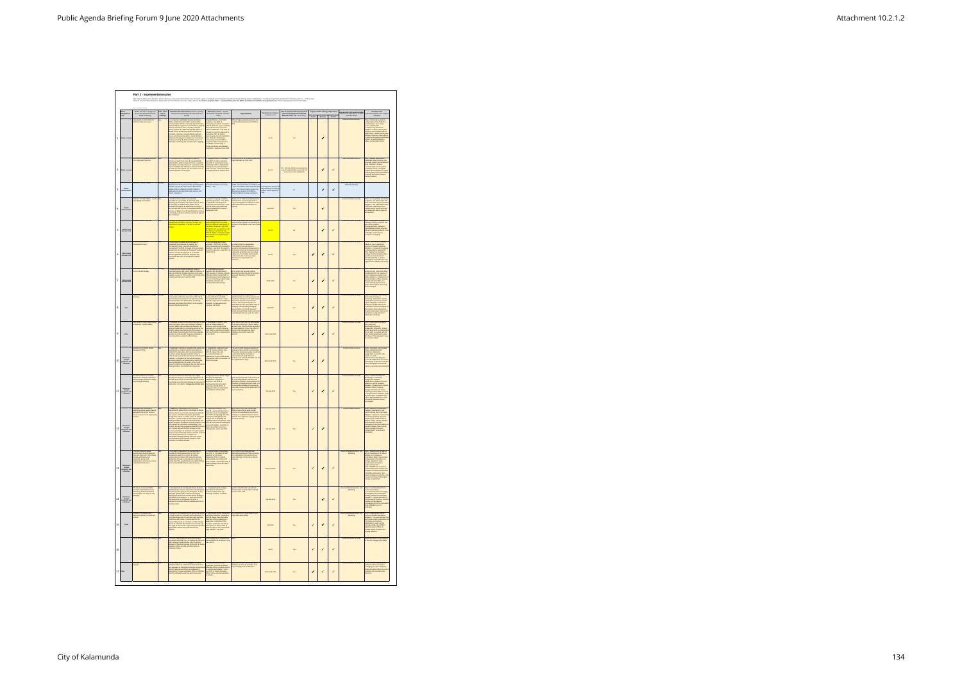|                          |                                                    | Part 2 - Implementation plan<br>.<br>This pierantifor pin outlos the states with you look may be made that the matter of the substitute the substitute of substitute the substitute of the streety myster and 6.0 West means the first what is a state is a state |                                      |                                                                                                                                                                                                                                                                                                                                                                                                                                |                                                                                                                                                                                                                                                                                                                                            |                                                                                                                                                                                                                                                                                                                                                                                                     |                                                                           |                                                                                                                      |              |                                               |              |                                                                                                 |                                                                                                                                                                                                                                                                                                                                                                                                                                                         |
|--------------------------|----------------------------------------------------|-------------------------------------------------------------------------------------------------------------------------------------------------------------------------------------------------------------------------------------------------------------------|--------------------------------------|--------------------------------------------------------------------------------------------------------------------------------------------------------------------------------------------------------------------------------------------------------------------------------------------------------------------------------------------------------------------------------------------------------------------------------|--------------------------------------------------------------------------------------------------------------------------------------------------------------------------------------------------------------------------------------------------------------------------------------------------------------------------------------------|-----------------------------------------------------------------------------------------------------------------------------------------------------------------------------------------------------------------------------------------------------------------------------------------------------------------------------------------------------------------------------------------------------|---------------------------------------------------------------------------|----------------------------------------------------------------------------------------------------------------------|--------------|-----------------------------------------------|--------------|-------------------------------------------------------------------------------------------------|---------------------------------------------------------------------------------------------------------------------------------------------------------------------------------------------------------------------------------------------------------------------------------------------------------------------------------------------------------------------------------------------------------------------------------------------------------|
|                          | Vaste<br>Aanagemen<br>Iool                         | Action (OR link to misting local)<br>government planidocument that<br>details this activity                                                                                                                                                                       | is the action<br>new or<br>existing? | Detailed actionalsab-actions (OR Ink to existin<br>local government plankbourners that details this<br>activity)                                                                                                                                                                                                                                                                                                               | Milestanes (SMART - Specific,<br>Measurable, Achievable, Relevant<br>Timed)                                                                                                                                                                                                                                                                | Target (SMART)                                                                                                                                                                                                                                                                                                                                                                                      | Timeframe for deliver<br>(completion date)                                | <b>Cost of implementation incorporate</b><br>Into annual budget and Corporate<br>Business Plan? Y/N - (if not, why?) | Avoid        | Aligna to Waste Strategy Objective<br>Recover | Protect      | sponsibility for implementation<br>and, team or often the notifie rest<br>stimulation often the | sequences and mit<br>strategies)                                                                                                                                                                                                                                                                                                                                                                                                                        |
| $\mathbf{1}$             | <b>Waste serv</b>                                  | eduction of 3 bin FOGO for<br>Paids collection                                                                                                                                                                                                                    |                                      | 1. In conjunction with Banker Practice Guidance<br>$\text{FGOGG}_n$ - Denote Bank Go FOGG, conduct intelligencement<br>communication with the community about its City is<br>my<br>investment by Denote City and the City compared intellig                                                                                                                                                                                    | The Same Practice - Go FOGO<br>Community Counter - Go FOGO<br>Community comulad - December<br>Community comulad - December<br>2020. J. Business case completely<br>potented rather and completed - July 2021-4.<br>December 2021. R. Tender<br>Comm                                                                                        | 0% of City provided bin services for<br>idents will have access to FOGO by                                                                                                                                                                                                                                                                                                                          | $34-25$                                                                   | Yes                                                                                                                  |              | ✔                                             |              |                                                                                                 | sks: Community resistanc<br>réamination, lack of effecti<br>mmunication, none militué<br>communication, poor rollout<br>service, FOGO plant<br>commissioning pushed cut.<br>AMigastice: Emsure orgoing and<br>stituctive communication with all<br>stituctive milestones, huwe option<br>formies, bin audits/tegoing to<br>formies, bin audi                                                                                                            |
| $\overline{2}$           | Waste servic                                       | lecovery of recyclable materials<br>om verge-side skip bins                                                                                                                                                                                                       |                                      | 1. Consultation with Clearanany on proposed<br>recovery of waste from skips. 2. Geographically<br>representative audit of verge-islike libris to emission<br>what wastes are being disposed. 3. generate audit<br>report 4. Stakeholder me                                                                                                                                                                                     | 1. Engagement with Cleansway -<br>April 2020. 2. Audit completion -<br>July 2020. 3. Audit report lessed<br>September 2020. 4. Stakeholder<br>eeting to discuss feasibility of<br>aste recovery - December 2020<br>Implement trial in January 2021                                                                                         | scovery 20% of recyclable material fr<br>rge-side skips by June 2021                                                                                                                                                                                                                                                                                                                                | $346-21$                                                                  | NO - trial only. Will be incorporated in<br>annual budget pending successful tri<br>and accurate costs established.  |              | ✔                                             | $\checkmark$ | Asset and Waste Services                                                                        | Risks: Siewed audit muils.<br>Urbanisle water secovery, cost<br>Giove-outs, delay in skip turnerous<br>Giove-outs, delay in skip turnerous<br>consistent approach to muils for was<br>maining options.<br>turnerously, this will moover lanes<br>co                                                                                                                                                                                                     |
| $\mathsf 3$              | Waste<br>Infrastructu                              | alliston Transfer Station                                                                                                                                                                                                                                         | ástra                                | t) implement licence conditions and out by<br>Department of Emircoment, Wales and Regulation<br>(DWER), 2/Forecast Julian weals letterstocker<br>requirements for Wallacon Transfer Station to<br>adequate younger specified waste streams                                                                                                                                                                                     | plement licence conditions in<br>specified timeframes set out by<br>DWER - TBA                                                                                                                                                                                                                                                             | son receiving licence conditions from<br>WER, work to implement conditions and<br>recommendations within specified time<br>matructure required for Walliston<br>teatructure required for Walliston<br>ansfer Station to ensure compilance.                                                                                                                                                          | www.file.for.delive.<br>dependant upon rece<br>DWER licence appro<br>TBA. | No                                                                                                                   |              | ✔                                             | ✔            | Asset and Waste Operations.<br>DWER & Planning.                                                 |                                                                                                                                                                                                                                                                                                                                                                                                                                                         |
| $\ddot{a}$               | Waste<br>Infrastruct                               | /alliston Transfer Station<br>egregating hard plastics                                                                                                                                                                                                            |                                      | I. Estabilish which plastics are presently<br>recyclable loo-recyclable . 2. Generate Safe<br>Operating Procedure for site staff to follow to allow<br>the recovery of sultable waste plastics into a<br>discuss rewe SQP and list of acce<br>Genetate a report on volumes recovered agains                                                                                                                                    | 1. plastics recycling evaluation<br>and SOP generation - June 2020.<br>2. Stakeholder meeting and 3-<br>north tital commencement - June<br>1000: 3. Report generated and<br>lollow up stakeholder meeting -<br>September 2020.                                                                                                             | By the end of 2020 the feasibility stud<br>il show if it is economically viable to<br>cover solid plastics contained in mix<br>sds delivered by local residents for<br>spossi.                                                                                                                                                                                                                      | end 2020                                                                  | Yes                                                                                                                  |              | ٠                                             |              |                                                                                                 | Risks: non-recyclables placed in<br>receptacie, also utalf contact with<br>easile, inaccuratie report generate<br>Miligarion: Sile staff trained and<br>tolour SOP, dedicated project<br>management to ensure accurate<br>and meaningful data is captured<br>and recorted.                                                                                                                                                                              |
| 5                        | Policies and<br>procurement                        | lop Waste Local Law                                                                                                                                                                                                                                               |                                      | unsure as employees involved with waste<br>regement are aware of the law, its intent and<br>orcement capabilities. 2. Waste Local Law                                                                                                                                                                                                                                                                                          | . As emproyees involved with<br>axia management or resident<br>fivion/complaints made aware of<br>e Waxte Local Law - July 2020.<br>Waste Local Lawguidance note<br>remployees generated July<br>200. 3. Waste Local Lawadopte<br>nd displayed on City Webpage                                                                             | colicies and procedures are following the<br>directives of the Waste Local Law by Jun<br>8020                                                                                                                                                                                                                                                                                                       | Jup22                                                                     | No                                                                                                                   |              | ✔                                             | $\checkmark$ | Asset and Waste Services                                                                        | <b>Risks: Employees not trained, or</b><br>following correct procedures and give out inconstitutes<br>and incomplete information reasonably program<br>Well-structured training programs<br>to facilitate conformly and<br>consistent messaging.                                                                                                                                                                                                        |
| 6                        | Policies and<br>procurement                        | evelop a Sustainab<br>wousement Policy                                                                                                                                                                                                                            |                                      | t. Obtain and consult the WALGA Guide to<br>Sustainable Procurement. 2. Develop the<br>Procurement Policy in line with the WALGA<br>Procurement Policy is line with the WALGA<br>department for leadings. A. Choising Feedback<br>submit to C                                                                                                                                                                                  | 1. WALGA guide and Toolkk<br>consulted - April 2020, 2. Initial<br>Policy developed and circulated file<br>facilitatic - Isle 2020, 3. Submit to<br>Council for approval - early 2021.<br>Initials Policy.                                                                                                                                 | .<br>Iy January 2021 the Sustainable<br>Itocurement Policy will ensure a<br>Procurament Protey was entered a<br>provident of goods and services that<br>a providen of goods and services that<br>until waste generalise and encourage<br>praise can be recommitted to the protect interaction<br>reflects in the beam of                                                                            | Jup21                                                                     | Yes                                                                                                                  | $\checkmark$ | ✔                                             | $\checkmark$ |                                                                                                 | Risks: Resistance to change<br>whiley to source applicable<br>envices, increased spending<br><b>Milgasion: Consistent messa</b><br>Io all stakeholders advising the<br>to all stakeholders advising the<br>City's algorest to the Waste<br>Strategy, Emuse all Stakeholde<br>have the correct and cument<br>information/guides to assist in<br>obtaining the competitive senior<br>required in line with the new Po                                     |
| $\overline{\phantom{a}}$ | Policies and<br>procurement                        | sice items in Local<br>vironmental Sittategy                                                                                                                                                                                                                      |                                      | ment the WARR Strategy 2, Support<br>ommunity groups and reduce wash in assertes. 3<br>selace incidence of illegal dumping. 4. Increase<br>selatel recovery to 70% by 2025. 5. 10% reductio<br>easte generation per capita by 2025                                                                                                                                                                                             | 1. Consistent focus group<br>meetings with all stekeholders -<br>2020 onwards. 2. Employ a Waste<br>Education Officer during 2020. 3.<br>Orlocal community groups through<br>advertising, initiatives and<br>ertives/grant allocat                                                                                                         | To profect the City's natural environment<br>and to reduce the amount of waste<br>generated in alignment with the timelines<br>goals and objectives of the Waste<br>Strategy                                                                                                                                                                                                                        | 2020-2030                                                                 | Yes                                                                                                                  | ٠            | ✔                                             | $\checkmark$ | Asset an Waste S                                                                                | iska: Stakeholder Inact<br>Risks: Stakeholder Inacion and<br>impair not met, Community feels<br>disterlandshiel, City unaware of<br>current initiatives/Ing unaware of<br>gravine. Miligation: Employment or<br>Wisses Education of Economics<br>dislogue with the EMRC, as                                                                                                                                                                             |
| 8                        | Data                                               | for illegal<br>mprove data<br>lumping                                                                                                                                                                                                                             |                                      | 1 Align the WALGA Model Process: liegel Dumpin<br>to the present and future objectives of the City. 2.<br>disseminate these principles and objectives of the<br>disseminate these principles and objectives of the<br>educating and traini<br>mped Waste Department                                                                                                                                                            | . Stakeholder engagement and<br>wiew of the WALGA Itlegal<br>Jumping Model Process - April<br>1020. 2. Implement new objects<br>counting on data capture and<br>eporting - Mid 2020.                                                                                                                                                       | reing the WALGA guidance in<br>unction with our existing policies and<br>.<br>cedures will improve customer ser<br>mai and external communication,<br>nternal and external communication,<br>extended recovery and increase sur<br>malentanding of the associated costs<br>turnaping and responding to litegally<br>trough increased data capture will assi<br>n developing business cases for acti | Md 2020                                                                   | Yes                                                                                                                  | ✓            | ✔                                             | $\checkmark$ | Asset and Waste S                                                                               | Risks: Inconsistent data capture<br>due to lack of training or<br>technology, Stakeholder inaction<br>following the submission of faid<br>reports. Milgasize: Structured<br>training for all field officers and<br>Investment in new technologie<br>data capture where appropriate.<br>Begal dumped waste data repos<br>included as an agenda item in<br>Stakeholder meetings.                                                                          |
| $\,$ 9                   | Data                                               | tter audit on major roads lead<br>Walliston Transfer Station                                                                                                                                                                                                      |                                      | take an audit on the amount and type of II<br>ri. Understee an audit on the amount and type of limitation<br>located along the main roads leading to Walliston<br>Transfer Station with simultaneous clearance. 2.<br>Using all media platforms (roclading posters at the<br>limitativ a                                                                                                                                       | <b>1. Urderteke 1st audit by June<br/>2020. 2. Media release of<br/>Jinercure Load Urbank Road<br/>Lampaign for 3 months following<br/>antial audit. 3. Underteke 2nd audit<br/>wuxed 2020.<br/>Wuxed 2020.</b><br>end 2020.                                                                                                               | By the end of 2020 the City will be awared the impact Walliston Toronte Station and the amount of the deposite<br>on made is adopt a count of the deposite basis on made is<br>adopt to A Alao, the effect (if any) the KAB campaig                                                                                                                                                                 | mid to late 2020                                                          |                                                                                                                      | ✔            |                                               |              |                                                                                                 | Alaks: InaccurateImeaningless<br>data, leaffective<br>advertising/community<br>angagement. Afrigation: Ensure<br>agreed action plan by mikelbolder<br>cloic to audit, coordinate with the<br>cloic to audit, coordinate with the<br>the rollout of                                                                                                                                                                                                      |
| 10                       | Behaviour<br>change<br>programs as<br>initiatives  | wilop a Cliff World<br>et Pin                                                                                                                                                                                                                                     |                                      | , Stakeholder meeting to establish what was to associated, their frequency and present disposal<br>associated, their frequency and present disposal to<br>sense a block base enthed by considerable to the comparison of the<br>sense                                                                                                                                                                                          | * 2000. 2: Develop Plan by June<br>2020. 2: Develop Plan by June<br>sociated training to all<br>stakeholders. 4: Six-month review<br>stakeholders. 4: Six-month review<br>December 2020 to asce<br>Hect of the plan.                                                                                                                       | e end of 2020 will see a reductiv<br>The end of 2020 will see a reduction in<br>rasts generation and the recovery/waxe<br>efuced Civil Works spending on<br>rocurement and waste<br>procurement and wasted in the visit of a significant first step.<br>a suignificant first step.                                                                                                                  | Mid to end 2020                                                           | Yes                                                                                                                  | ✔            | ✔                                             |              |                                                                                                 | Risks: Uresalistic and uranishis<br>Waxis management Plan,<br>Waxis management Plan,<br>englagement, hascurate data<br>anglagement, hascurate data<br>anglasca is stabilistical tracked in<br>Freure all stabilisticals to the plan<br>capture is s                                                                                                                                                                                                     |
| 11                       | Behaviour<br>change<br>programs as<br>initiatives  | ducation to increase awarene<br>nd encourage behaviour cha<br>round illegal dumping                                                                                                                                                                               |                                      | -vinese the WALGA Model Process: Begal<br>umping focussing on community engagement 2.<br>Voulate action items to stakeholders for comment.<br>Generate an action plan following the comment.<br>enemie an action plan following the outcomes<br>eholder consultation. 4.Implement action pla                                                                                                                                   | . WALGA Process Model: like<br>Sumping reviewed and<br>skeholders engaged for<br>smanners - mid 2000. 2.<br>smanned mid-late 2020. 2.<br>sungered roldust of action plan<br>suggered roldust of action.<br>hangered roldust of action.<br>m.<br>ves mid-late 2020                                                                          | By the end of 2000 the Local community<br>that been tergeted with education and<br>participation initiatives aiming towards the<br>stringetics of illegaly duringed waste. Our series<br>stringetical terms and colors.<br>wwith and colors.                                                                                                                                                        | mid-late 2020                                                             | Yes                                                                                                                  | $\checkmark$ |                                               |              | Asset and Waste S                                                                               | isks: Insufficient/neffec<br>sherfising or community<br>Ingagement initiatives,<br>Stakeholders unaware of current<br>Statement travelate and control<br>children: Capacita malable.<br>Milgasion: Employment of Waste<br>Education Officer, cryping<br>dialogue with WALGA, Waste<br>contemporanes in HMRC to ensure<br>contemporanes in HMRC to experience of<br>any of<br>zity feedback actively                                                     |
| 12                       | Behaviour<br>change<br>programs an<br>initiatives  | Sixing recovered waste material<br>enerated through the Roads to<br>leuse scheme in civil engineerin                                                                                                                                                              |                                      | 1. Stateholder meeting with the Chil Works<br>Copatineer is action the relation of the Children Research<br>they regular, and if the end product penetration<br>through a section is a valid region of Library and<br>West Bin - content c<br>and a report generated on completion. 4.<br>Stakeholder meeting following the trial to review<br>successifialures and the future adoption of the<br>te in civil works activities | <b>1. Stakeholder meeting - April, 2020.</b> 2. Liaising with West Bin to chose in participation - April 2020. 3. Engaging with other companies participating in the statements and investigating the function - April 2020. 4. Ci<br>recovered material - mid 2020. S.<br>Report generated and review<br>meeting held - mid to late 2020. | he end of 2020 the City will have<br>oled a new scheme using circular<br>secret a new scheme using circular<br>incipies to establish if Road to Reu<br>sterials are suitable for ongoing sp<br>if works activities.                                                                                                                                                                                 | mid-late 2020                                                             | Yes                                                                                                                  | $\checkmark$ | ✔                                             |              |                                                                                                 | skx: Material is contant<br>venus: Maintal is conteminated,<br>maintain is ununitable for use,<br>neport following trial is insucurate<br>Milgaelon: Maintal is sourced of<br>tram Wisster Adhority approved<br>mapplers with certified material<br>and senociated materials<br>and associated materials<br>investigated to ensure suitability !<br>specific activities, trial is closed<br>project managed to ensure<br>resultant data is accurate and |
| 13                       | Behaviour<br>change<br>programs an<br>initiatives  | ims and objectives of the Waste<br>Issegy and asking how<br>Idviduals, groups and<br>eparisations can ensure positive<br>cristiations/Outcomes                                                                                                                    |                                      | department heads for comment. 3. Upload<br>questionnaire to internet and invite all employee<br>participation frough e-mail and other sourcess. 4.<br>Collate data from questionnaire and publish findings<br>and how this will affect fut                                                                                                                                                                                     | July 2020, 2. Clevulation of draft<br>September 2020, 3. Upload<br>September 2020, 3. Upload<br>questionnaire créo Internet 2020, 4<br>record neaster<br>Publish findings and action items -<br>Mach 2021                                                                                                                                  | are contributing to the success of the<br>Waste Strategy in achieving its targets<br>and goals.                                                                                                                                                                                                                                                                                                     | early mid 2021                                                            | Yes                                                                                                                  | $\checkmark$ | ✔                                             | $\checkmark$ |                                                                                                 | are not meaning<br>Harb School (1945) and the Watsh Similary, poor employee<br>Similary, and the similar field periodic conditions of<br>the field periodic school (1945) and the similar conditions of<br>Similar conditions of the simi                                                                                                                                                                                                               |
| 14                       | Behaviour<br>change<br>programs and<br>initiatives | he City to assist the DWER<br>critainer Deposit Scheme by<br>dvertising Refund Points and<br>romoting the message on City<br>ebpage                                                                                                                               |                                      | 1. Interdepartmental meeting with Waste Services and Marketing and Science<br>and Marketing to discuss and sales abundant grad of the services of<br>columns of energing on City Webpape. 3. City Webpape and the internal<br>particul                                                                                                                                                                                         | 1. Interdepartmental meeting -<br>April 2020. 2. Refund Point<br>locations obtained and City<br>Webpage updated - mid 2020                                                                                                                                                                                                                 | 13 the City will have<br>resion and continued<br>mid to late 2020 ti<br>slated in the incept<br>coess of the CDS.                                                                                                                                                                                                                                                                                   | mid-late 2020                                                             | Yes                                                                                                                  |              | ✔                                             | $\checkmark$ | l<br>Luxef and Waste See<br>Marketing<br>ices and                                               | Risks: Incornet Refund Point<br>Incations advertised,<br>Incornet/Incorsistent massaging<br>Strategy published on webpage,<br>Strategy published on webpage,<br>Milgation: Vigilari verkistigae.<br>CDS panicipari localions, intende<br>scheme and educations! intende<br>messaging sent out for consultatio<br>(WALGAEMRC) prior to<br>publication.                                                                                                   |
| 15                       | Other                                              | .<br>ducation of a mobile waste<br>chools.<br>chools.                                                                                                                                                                                                             |                                      | 1. Research into establishing the appropriate vehicle<br>2. Obtain quotes for punchase and modifications. 3.<br>Formulate usage plan in conjunction with punchase<br>usafficient and substitute Directorate CEO for<br>welcow and approval<br>appropriate resident and profes<br>requests.<br>ioral body                                                                                                                       | 1. Appropriate vehicle researched<br>and quotes chained - September<br>$\Delta$ 0000. 2. Waste Services/Waste<br>Education Officer establishes a<br>usage plan - December 2020.<br>Punchase justification submitted<br>whicle ready for rol out and                                                                                        | By mid-2021 the City will have its own<br>Waste Education vehicle                                                                                                                                                                                                                                                                                                                                   | mid 2021                                                                  | Yes.                                                                                                                 | $\checkmark$ | $\checkmark$                                  | $\checkmark$ | kssel and Waste Services and<br>Marketing                                                       | Risks: Inappropriate which<br>Isound, which understited,<br>Milgation: Thomagh neasanch<br>appropriate which understited,<br>comments sounds from a comment<br>message method e.g. EMRC,<br>Wash Educate Officer to<br>facilitate which inception a                                                                                                                                                                                                     |
| 16                       |                                                    |                                                                                                                                                                                                                                                                   |                                      | 1. City is to identify litter hot-spots 2.Working in<br>conjunction with KAB City is to develop its own local<br>Litter Smategy based upon the Litter Prevention<br>Strategy for Western Australia 2015-2020. 3. Waste<br>Education Office<br>letake training.                                                                                                                                                                 | .<br>This stategy is to complement<br>w-2023                                                                                                                                                                                                                                                                                               |                                                                                                                                                                                                                                                                                                                                                                                                     | 3423                                                                      | Yes                                                                                                                  | $\checkmark$ | $\checkmark$                                  | $\checkmark$ |                                                                                                 | .<br>Vaste local does not get adopte<br>vy Council, strategy is out-dated                                                                                                                                                                                                                                                                                                                                                                               |
| $17\,$                   | Cther                                              | ssisting the Waste Wase Schoo<br>ogram                                                                                                                                                                                                                            |                                      | 1. Waste Education Officer engaged, 2. Waste<br>Education Officer to control local achools to see F<br>they are aware of the Waste Authorities' Waste Wise<br>Schools program and if they are interested in<br>participating, 3. Waste Edu                                                                                                                                                                                     | <b>1.</b> Waste Education Officer<br>employed - mid 2020. 2. Waste Education Officer contact subschip<br>Education Officer contact subschip<br>employed a Waste Education<br>Officer offers coppleg assistance<br>to schools.                                                                                                              | by the end of 2020 The City will have<br>facilitated -as many as possible- local<br>school's adoption of the Program.                                                                                                                                                                                                                                                                               | mid to end 2020                                                           | Yes                                                                                                                  | $\checkmark$ | $\checkmark$                                  | $\checkmark$ | Asset and Waste Services                                                                        | Risks: School's participation is<br>ineffective with no consistent<br>messaging to pupils. Miligation:<br>Watate Education officer to assist<br>facilitating successfullpositive<br>outcomes.                                                                                                                                                                                                                                                           |

 $\blacksquare$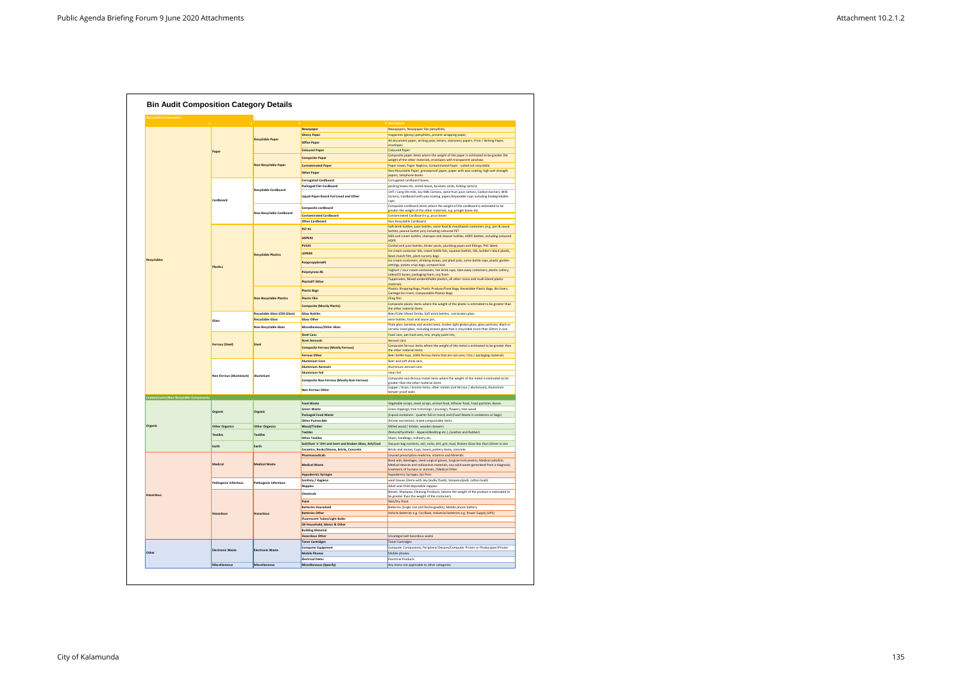| <b>Recyclable Components</b>                  |                              |                                |                                                         |                                                                                                                                                                                       |
|-----------------------------------------------|------------------------------|--------------------------------|---------------------------------------------------------|---------------------------------------------------------------------------------------------------------------------------------------------------------------------------------------|
|                                               |                              |                                |                                                         | 4 Descriptors                                                                                                                                                                         |
|                                               |                              |                                | Newspaper                                               | Newspapers, Newspaper like pamphlets,                                                                                                                                                 |
|                                               |                              |                                | <b>Glossy Paper</b>                                     | magazines (glossy) pamphlets, present wrapping paper,                                                                                                                                 |
|                                               |                              | <b>Recyclable Paper</b>        | <b>Office Paper</b>                                     | A4 document paper, writing pads, letters, stationery papers, Print / Writing Paper,<br>envelopes                                                                                      |
|                                               | Paper                        |                                | <b>Coloured Paper</b>                                   | <b>Coloured Paper</b>                                                                                                                                                                 |
|                                               |                              |                                | <b>Composite Paper</b>                                  | Composite paper items where the weight of the paper is estimated to be greater the                                                                                                    |
|                                               |                              | <b>Non-Recyclable Paper</b>    |                                                         | weight of the other materials, envelopes with transparent windows                                                                                                                     |
|                                               |                              |                                | <b>Contaminated Paper</b>                               | Paper towel, Paper Napkins, Contaminated Paper - soiled not recyclable<br>Non-Recyclable Paper, greaseproof paper, paper with wax coating, high wet strength                          |
|                                               |                              |                                | <b>Other Paper</b>                                      | papers, telephone books                                                                                                                                                               |
|                                               |                              |                                | <b>Corrugated Cardboard</b>                             | Corrugated cardboard boxes,                                                                                                                                                           |
|                                               |                              |                                | <b>Packaged Flat Cardboard</b>                          | packing boxes etc, cereal boxes, business cards, folding cartons                                                                                                                      |
|                                               | Cardboard                    | <b>Recyclable Cardboard</b>    | Liquid Paper Board Foil Lined and Other                 | UHT / Long life milk, Soy Milk Cartons, some fruit juice cartons, Carbon barriers, Milk<br>Cartons, Cardboard with wax coating, paper/disposable cups including biodegradable<br>cups |
|                                               |                              |                                | Composite cardboard                                     | Composite cardboard items where the weight of the cardboard is estimated to be                                                                                                        |
|                                               |                              | Non-Recyclable Cardboard       |                                                         | greater the weight of the other materials, e.g. pringle boxes etc,                                                                                                                    |
|                                               |                              |                                | <b>Contaminated Cardboard</b><br>Other Cardboard        | Contaminated Cardboard e.g. pizza boxes<br>Non-Recyclable Cardboard                                                                                                                   |
|                                               |                              |                                |                                                         | Soft drink bottles, juice bottles, some food & mouthwash containers (e.g. jam & sauce                                                                                                 |
|                                               |                              |                                | <b>PET #1</b>                                           | bottles, peanut butter jars) including coloured PET                                                                                                                                   |
|                                               |                              |                                | HDPE#2                                                  | Milk and cream bottles, shampoo and cleaner bottles, HDPE bottles, including coloured                                                                                                 |
|                                               |                              |                                | PVC#3                                                   | <b>HDPE</b><br>Cordial and juice bottles, blister packs, plumbing pipes and fittings, PVC labels                                                                                      |
|                                               |                              |                                |                                                         | Ice cream container lids, cream bottle lids, squeeze bottles, lids, builder's black plastic,                                                                                          |
|                                               |                              | <b>Recyclable Plastics</b>     | LDPE#4                                                  | black mulch film, plant nursery bags                                                                                                                                                  |
| Recyclables                                   |                              |                                | Polypropylene#5                                         | Ice cream containers, drinking straws, pot plant pots, some bottle caps, plastic garden                                                                                               |
|                                               | <b>Plastics</b>              |                                |                                                         | settings, potato crisp bags, compost bins<br>Yoghurt / sour cream containers, hot drink cups, take away containers, plastic cutlery,                                                  |
|                                               |                              |                                | Polystyrene #6                                          | video/CD boxes, packaging foam, any foam                                                                                                                                              |
|                                               |                              |                                | Plastic#7 Other                                         | Tupperware, Mixed unidentifiable plastics, all other resins and multi-blend plastic<br>materials                                                                                      |
|                                               |                              |                                |                                                         | Plastics Shopping Bags, Plastic Produce/Food Bags, Resealable Plastic Bags, Bin liners,                                                                                               |
|                                               |                              |                                | <b>Plastic Bags</b>                                     | Garbage bin liners, Compostable Plastics Bags                                                                                                                                         |
|                                               |                              | <b>Non-Recyclable Plastics</b> | <b>Plastic Film</b>                                     | <b>Cling film</b>                                                                                                                                                                     |
|                                               |                              |                                | <b>Composite (Mostly Plastic)</b>                       | Composite plastic items where the weight of the plastic is estimated to be greater than<br>the other material items                                                                   |
|                                               |                              | Recyclable Glass (CDS Glass)   | <b>Glass Bottles</b>                                    | Beer/Cider Mixed Drinks, Soft drink bottles, not broken glass                                                                                                                         |
|                                               | Glass                        | <b>Recyclable Glass</b>        | <b>Glass Other</b>                                      | wine bottles, food and sauce jars,                                                                                                                                                    |
|                                               |                              | <b>Non-Recyclable Glass</b>    | Miscellaneous/Other Glass                               | Plate glass (window and windscreen), broken light globes glass, glass particles, Black or                                                                                             |
|                                               |                              |                                |                                                         | ceramic lined glass, Including broken glass that is recyclable more than 50mm in size                                                                                                 |
|                                               | <b>Ferrous (Steel)</b>       | <b>Steel</b>                   | <b>Steel Cans</b>                                       | Food cans, pet food cans, tins, empty paint tins,                                                                                                                                     |
|                                               |                              |                                | <b>Steel Aerosols</b>                                   | <b>Aerosol</b> cans<br>Composite ferrous items where the weight of the metal is estimated to be greater than                                                                          |
|                                               |                              |                                | <b>Composite Ferrous (Mostly Ferrous)</b>               | the other material items                                                                                                                                                              |
|                                               |                              |                                | <b>Ferrous Other</b>                                    | Beer bottle tops, 100% ferrous items that are not cans / tins / packaging materials                                                                                                   |
|                                               |                              |                                | <b>Aluminium Cans</b>                                   | Beer and soft drink cans,                                                                                                                                                             |
|                                               |                              |                                | <b>Aluminium Aerosols</b>                               | Aluminium aerosol cans                                                                                                                                                                |
|                                               | Non Ferrous (Aluminium)      | Aluminium                      | <b>Aluminium Foil</b>                                   | clean foil                                                                                                                                                                            |
|                                               |                              |                                | Composite Non-Ferrous (Mostly Non-Ferrous)              | Composite non-ferrous metal items where the weight of the metal is estimated to be<br>greater than the other material items                                                           |
|                                               |                              |                                | Non-Ferrous Other                                       | Copper / brass / bronze items, other metals (not ferrous / aluminium), Aluminium<br>tamper proof seals                                                                                |
| <b>Contaminants/Non-Recyclable Components</b> |                              |                                |                                                         |                                                                                                                                                                                       |
|                                               |                              |                                | <b>Food Waste</b>                                       | Vegetable scraps, meat scraps, animal food, leftover food, Food particles, Bones                                                                                                      |
|                                               | Organic                      | Organic                        | <b>Green Waste</b>                                      | Grass clippings, tree trimmings / pruning's, flowers, tree wood                                                                                                                       |
|                                               |                              |                                | <b>Packaged Food Waste</b>                              | (Liquid containers - quarter full or more) and (Food Waste in containers or bags)                                                                                                     |
| Organic                                       | <b>Other Organics</b>        | <b>Other Organics</b>          | <b>Other Putrescible</b><br>Wood/Timber                 | Animal excrement, mixed compostable items<br>Milled wood / timber, wooden skewers                                                                                                     |
|                                               |                              |                                | <b>Textiles</b>                                         | (Natural/Synthetic - Apparel/Bedding etc.), (Leather and Rubber)                                                                                                                      |
|                                               | <b>Textiles</b>              | <b>Textiles</b>                | <b>Other Textiles</b>                                   | Shoes, handbags, millinery etc                                                                                                                                                        |
|                                               |                              |                                | Soil/Dust 'n' Dirt and Inert and Broken Glass, Ash/Coal | Vacuum bag contents, soil, rocks, dirt, grit, mud, Broken Glass less than 50mm in size                                                                                                |
|                                               | Earth                        | Earth                          | Ceramics, Rocks/Stones, Bricks, Concrete                | Bricks and stones, Cups, bowls, pottery items, concrete                                                                                                                               |
|                                               |                              |                                | Pharmaceuticals                                         | Unused prescription medicine, vitamins and Minerals                                                                                                                                   |
|                                               |                              | <b>Medical Waste</b>           |                                                         | Band aids, Bandages, Used surgical gloves, Surgical Instruments, Medical aids/kits,                                                                                                   |
|                                               | Medical                      |                                | <b>Medical Waste</b>                                    | Medical devices and radioactive materials, any solid waste generated from a diagnosis,<br>treatment of humans or animals, /Medical Other                                              |
|                                               |                              |                                | <b>Hypodermic Syringes</b>                              | Hypodermic Syringes, Epi Pens                                                                                                                                                         |
|                                               |                              |                                | Sanitary / Hygiene                                      | used tissues (items with any bodily fluids), tampons/pads, cotton buds)                                                                                                               |
|                                               | <b>Pathogenic Infectious</b> | <b>Pathogenic Infectious</b>   | <b>Nappies</b>                                          | Adult and Child disposable nappies                                                                                                                                                    |
|                                               |                              |                                | Chemicals                                               | Bleach, Shampoo, Cleaning Products, (where the weight of the product is estimated to                                                                                                  |
| <b>Hazardous</b>                              |                              |                                |                                                         | be greater than the weight of the container)                                                                                                                                          |
|                                               |                              |                                | Paint                                                   | <b>Wet/Dry Paint</b>                                                                                                                                                                  |
|                                               |                              |                                | <b>Batteries Household</b><br><b>Batteries Other</b>    | Batteries (Single Use and Rechargeable), Mobile phone battery<br>Vehicle Batteries e.g. Car/Boat, Industrial batteries e.g. Power Supply (UPS)                                        |
|                                               | <b>Hazardous</b>             | <b>Hazardous</b>               | <b>Fluorescent Tubes/Light Bulbs</b>                    |                                                                                                                                                                                       |
|                                               |                              |                                | Oil Household, Motor & Other                            |                                                                                                                                                                                       |
|                                               |                              |                                | <b>Building Material</b>                                |                                                                                                                                                                                       |
|                                               |                              |                                | <b>Hazardous Other</b>                                  | Uncategorized hazardous waste                                                                                                                                                         |
|                                               |                              |                                |                                                         |                                                                                                                                                                                       |
|                                               |                              |                                | <b>Toner Cartridges</b>                                 | <b>Toner Cartridges</b>                                                                                                                                                               |
|                                               |                              |                                | <b>Computer Equipment</b>                               | Computer Components, Peripheral Devices/Computer Printer or Photocopier/Printer                                                                                                       |
| Other                                         | <b>Electronic Waste</b>      | <b>Electronic Waste</b>        | <b>Mobile Phones</b>                                    | Mobile phones                                                                                                                                                                         |
|                                               |                              |                                | <b>Electrical Items</b>                                 | <b>Electrical Products</b>                                                                                                                                                            |